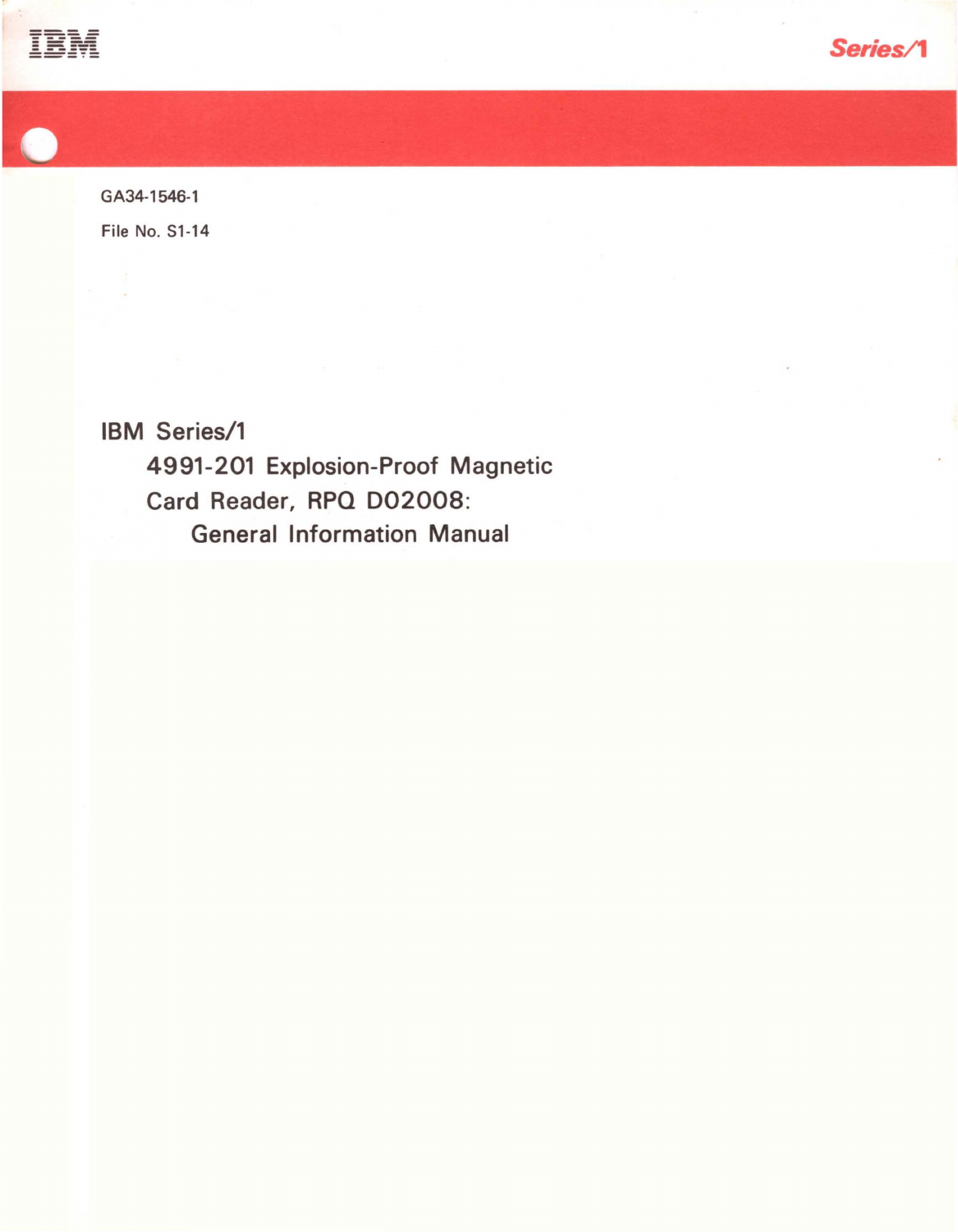



GA34-1546-1 File No. **S1-14** 

IBM Series/1 4991-201 Explosion-Proof Magnetic Card Reader, RPQ D02008: General Information Manual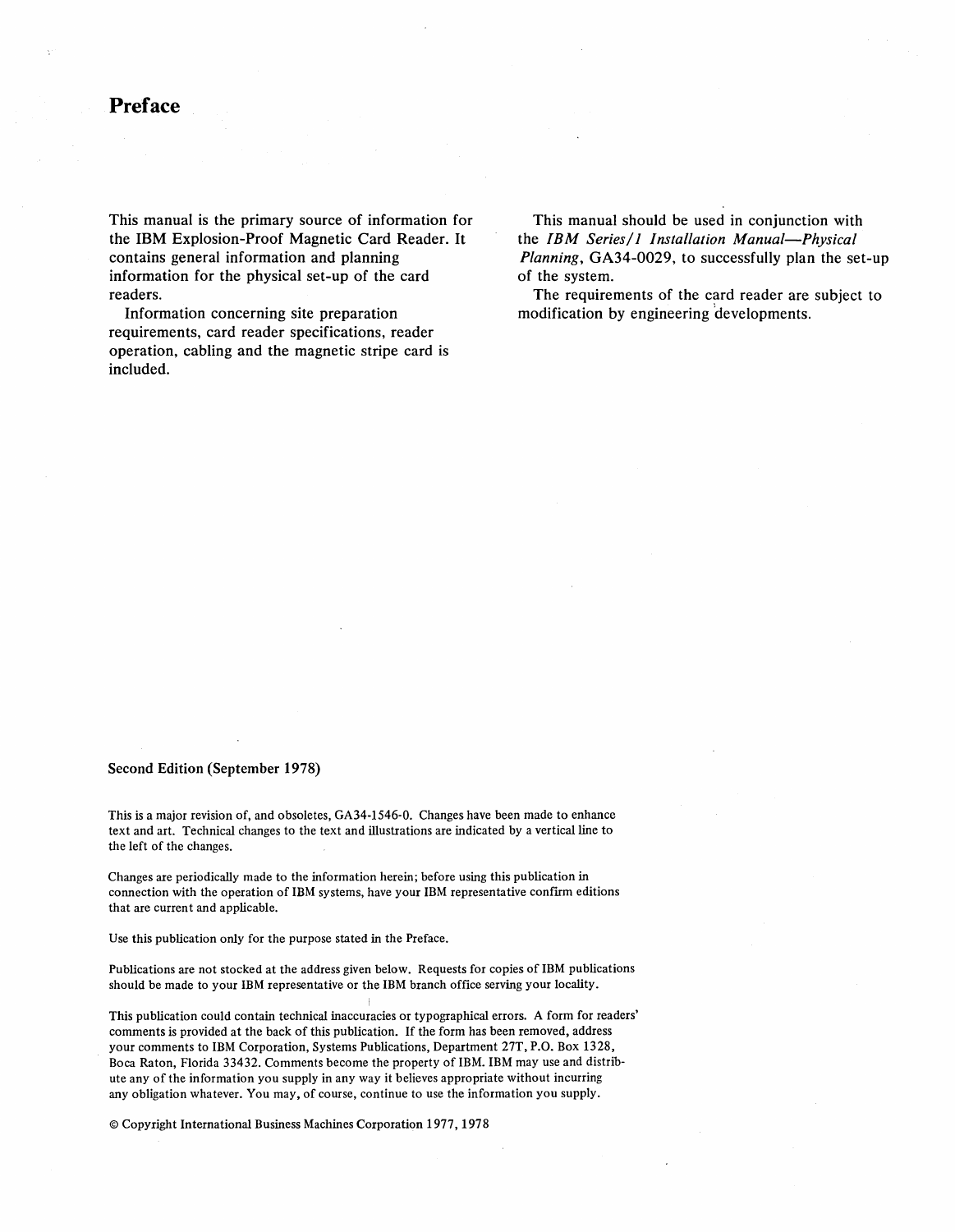# **Preface**

This manual is the primary source of information for the IBM Explosion-Proof Magnetic Card Reader. It contains general information and planning information for the physical set-up of the card readers.

Information concerning site preparation requirements, card reader specifications, reader operation, cabling and the magnetic stripe card is included.

This manual should be used in conjunction with the *IBM Series/* I *Installation Manual-Physical Planning,* GA34-0029, to successfully plan the set-up of the system.

The requirements of the card reader are subject to modification by engineering developments.

#### Second Edition (September 1978)

This is a major revision of, and obsoletes, GA34-1546-0. Changes have been made to enhance text and art. Technical changes to the text and illustrations are indicated by a vertical line to the left of the changes.

Changes are periodically made to the information herein; before using this publication in connection with the operation of IBM systems, have your IBM representative confirm editions that are current and applicable.

Use this publication only for the purpose stated in the Preface.

Publications are not stocked at the address given below. Requests for copies of IBM publications should be made to your IBM representative or the IBM branch office serving your locality. I

This publication could contain technical inaccuracies or typographical errors. A form for readers' comments is provided at the back of this publication. If the form has been removed, address your comments to IBM Corporation, Systems Publications, Department 27T, P.O. Box 1328, Boca Raton, Florida 33432. Comments become the property of IBM. IBM may use and distribute any of the information you supply in any way it believes appropriate without incurring any obligation whatever. You may, of course, continue to use the information you supply.

© Copyright International Business Machines Corporation 1977, 197 8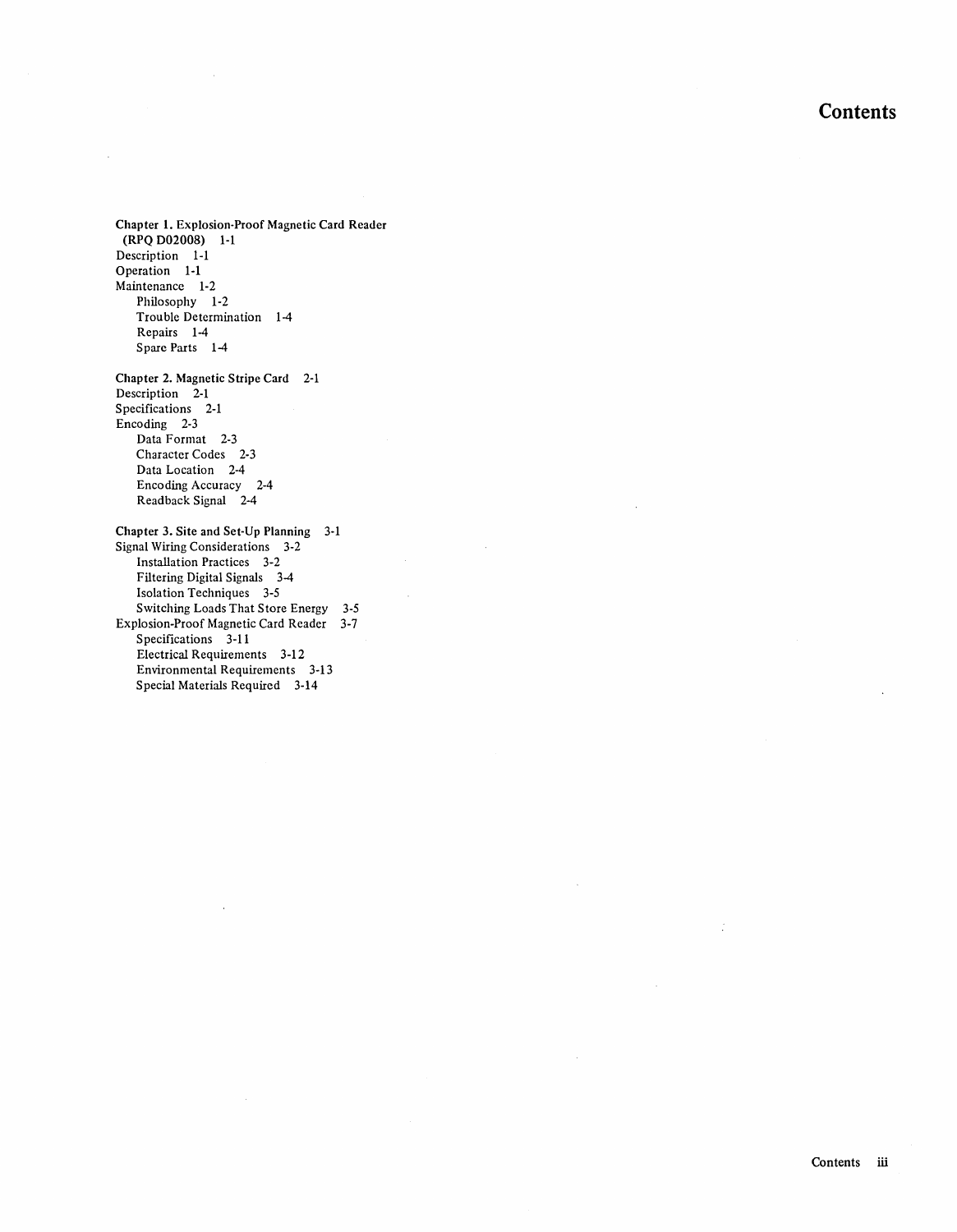**Contents** 

Chapter 1. Explosion-Proof Magnetic Card Reader (RPQ D02008) 1-1 Description 1-1 Operation 1-1 Maintenance 1-2 Philosophy 1-2 Trouble Determination 1-4 Repairs 1-4 Spare Parts 1-4

Chapter 2. Magnetic Stripe Card 2-1 Description 2-1 Specifications 2-1 Encoding 2-3 Data Format 2-3 Character Codes 2-3 Data Location 2-4 Encoding Accuracy 2-4 Readback Signal 2-4

Chapter 3. Site and Set-Up Planning 3-1 Signal Wiring Considerations 3-2 Installation Practices 3-2 Filtering Digital Signals 3-4 Isolation Techniques 3-5 Switching Loads That Store Energy 3-5 Explosion-Proof Magnetic Card Reader 3-7 Specifications 3-11 Electrical Requirements 3-12 Environmental Requirements 3-13 Special Materials Required 3-14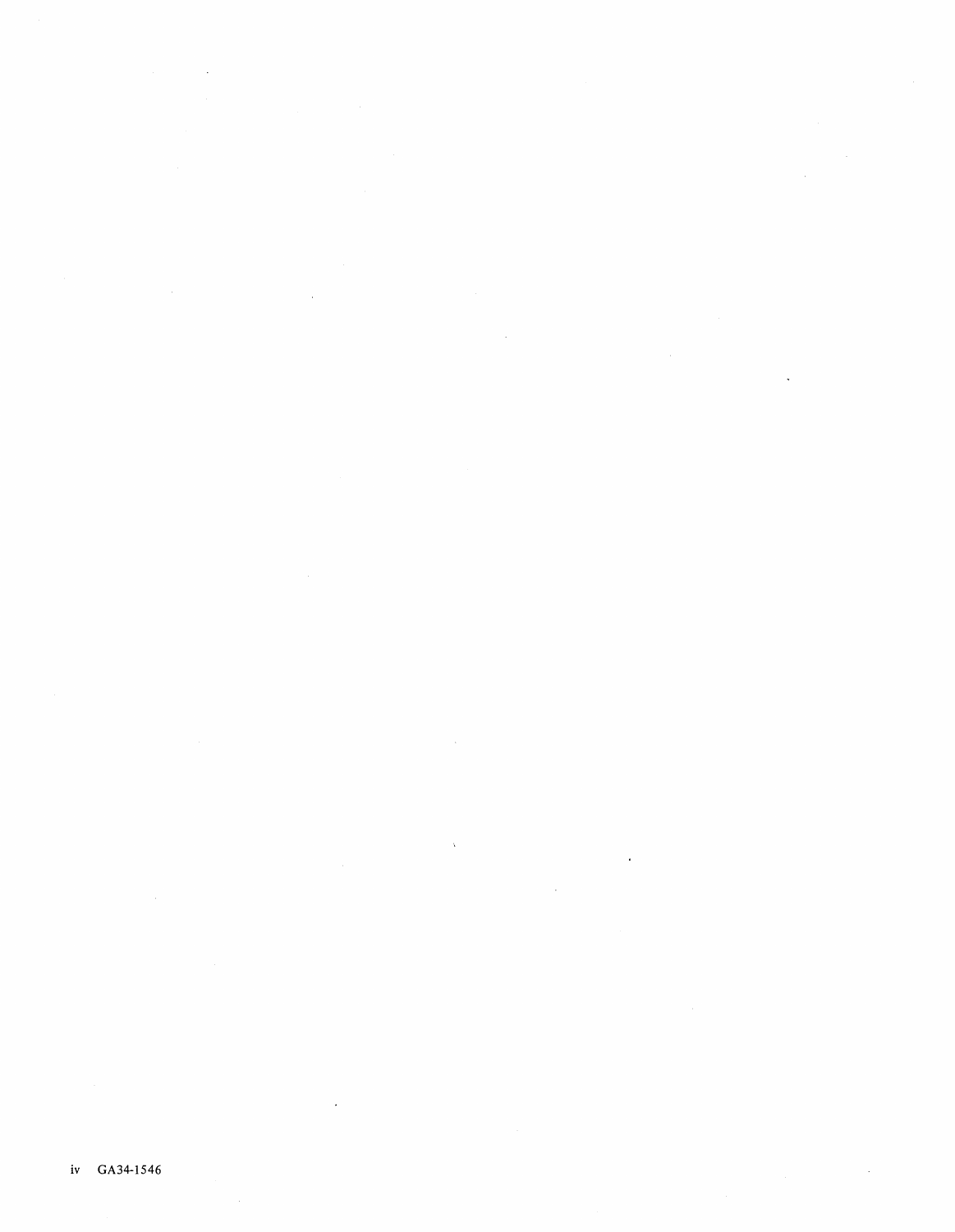$\sim$   $^{-1}$  $\sim$  $\sim 10$  $\mathcal{A}^{\mathcal{A}}$  $\chi$  $\hat{\mathbf{r}}$ 

 $\cdot$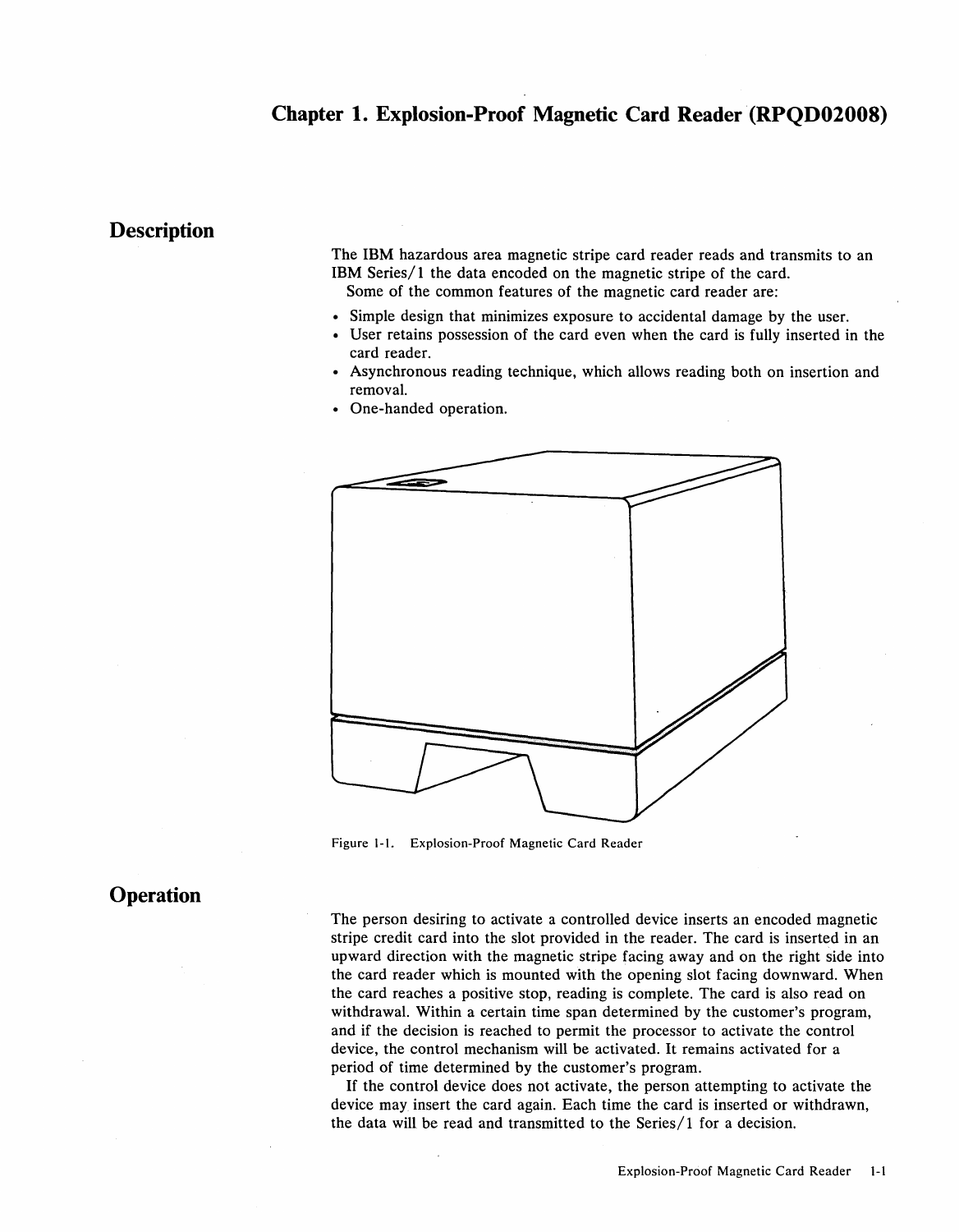# **Chapter 1. Explosion-Proof Magnetic Card Reader (RPQD02008)**

### **Description**

The IBM hazardous area magnetic stripe card reader reads and transmits to an IBM Series/1 the data encoded on the magnetic stripe of the card. Some of the common features of the magnetic card reader are:

- Simple design that minimizes exposure to accidental damage by the user.
- User retains possession of the card even when the card is fully inserted in the card reader.
- Asynchronous reading technique, which allows reading both on insertion and removal.
- One-handed operation.



Figure 1-1. Explosion-Proof Magnetic Card Reader

# **Operation**

The person desiring to activate a controlled device inserts an encoded magnetic stripe credit card into the slot provided in the reader. The card is inserted in an upward direction with the magnetic stripe facing away and on the right side into the card reader which is mounted with the opening slot facing downward. When the card reaches a positive stop, reading is complete. The card is also read on withdrawal. Within a certain time span determined by the customer's program, and if the decision is reached to permit the processor to activate the control device, the control mechanism will be activated. It remains activated for a period of time determined by the customer's program.

If the control device does not activate, the person attempting to activate the device may insert the card again. Each time the card is inserted or withdrawn, the data will be read and transmitted to the Series/1 for a decision.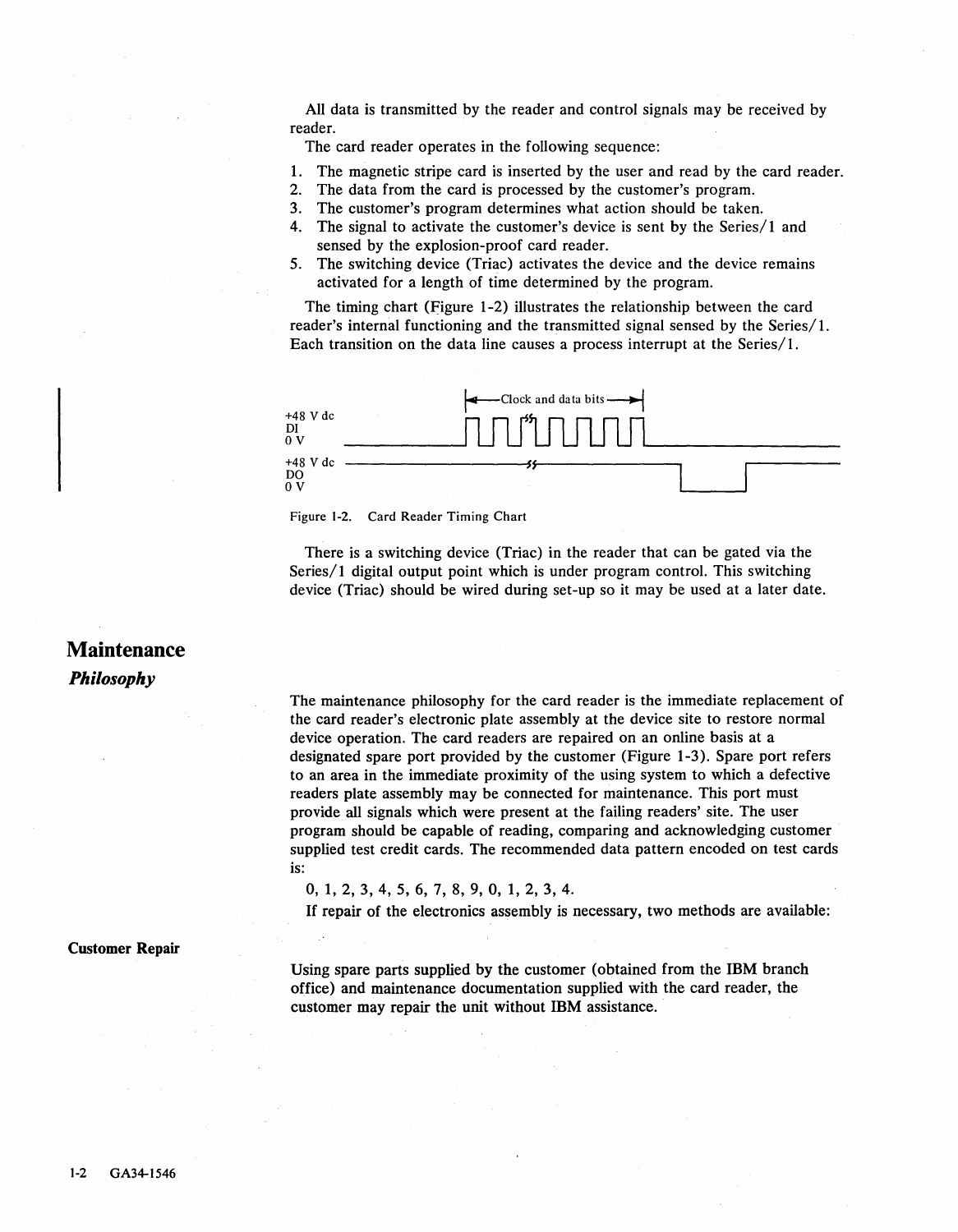All data is transmitted by the reader and control signals may be received by reader.

The card reader operates in the following sequence:

- 1. The magnetic stripe card is inserted by the user and read by the card reader.
- 2. The data from the card is processed by the customer's program.
- 3. The customer's program determines what action should be taken.
- 4. The signal to activate the customer's device is sent by the Series/1 and sensed by the explosion-proof card reader.
- 5. The switching device (Triac) activates the device and the device remains activated for a length of time determined by the program.

The timing chart (Figure 1-2) illustrates the relationship between the card reader's internal functioning and the transmitted signal sensed by the Series/ 1. Each transition on the data line causes a process interrupt at the Series/ 1.



Figure 1-2. Card Reader Timing Chart

There is a switching device (Triac) in the reader that can be gated via the Series/ **1** digital output point which is under program control. This switching device (Triac) should be wired during set-up so it may be used at a later date.

# **Maintenance**  *Philosophy*

The maintenance philosophy for the card reader is the immediate replacement of the card reader's electronic plate assembly at the device site to restore normal device operation. The card readers are repaired on an online basis at a designated spare port provided by the customer (Figure 1-3 ). Spare port refers to an area in the immediate proximity of the using system to which a defective readers plate assembly may be connected for maintenance. This port must provide all signals which were present at the failing readers' site. The user program should be capable of reading, comparing and acknowledging customer supplied test credit cards. The recommended data pattern encoded on test cards is:

0, 1, 2, 3, 4, 5, 6, 7, 8, 9, 0, 1, 2, 3, 4.

If repair of the electronics assembly is necessary, two methods are available:

**Customer Repair** 

Using spare parts supplied by the customer (obtained from the IBM branch office) and maintenance documentation supplied with the card reader, the customer may repair the unit without IBM assistance.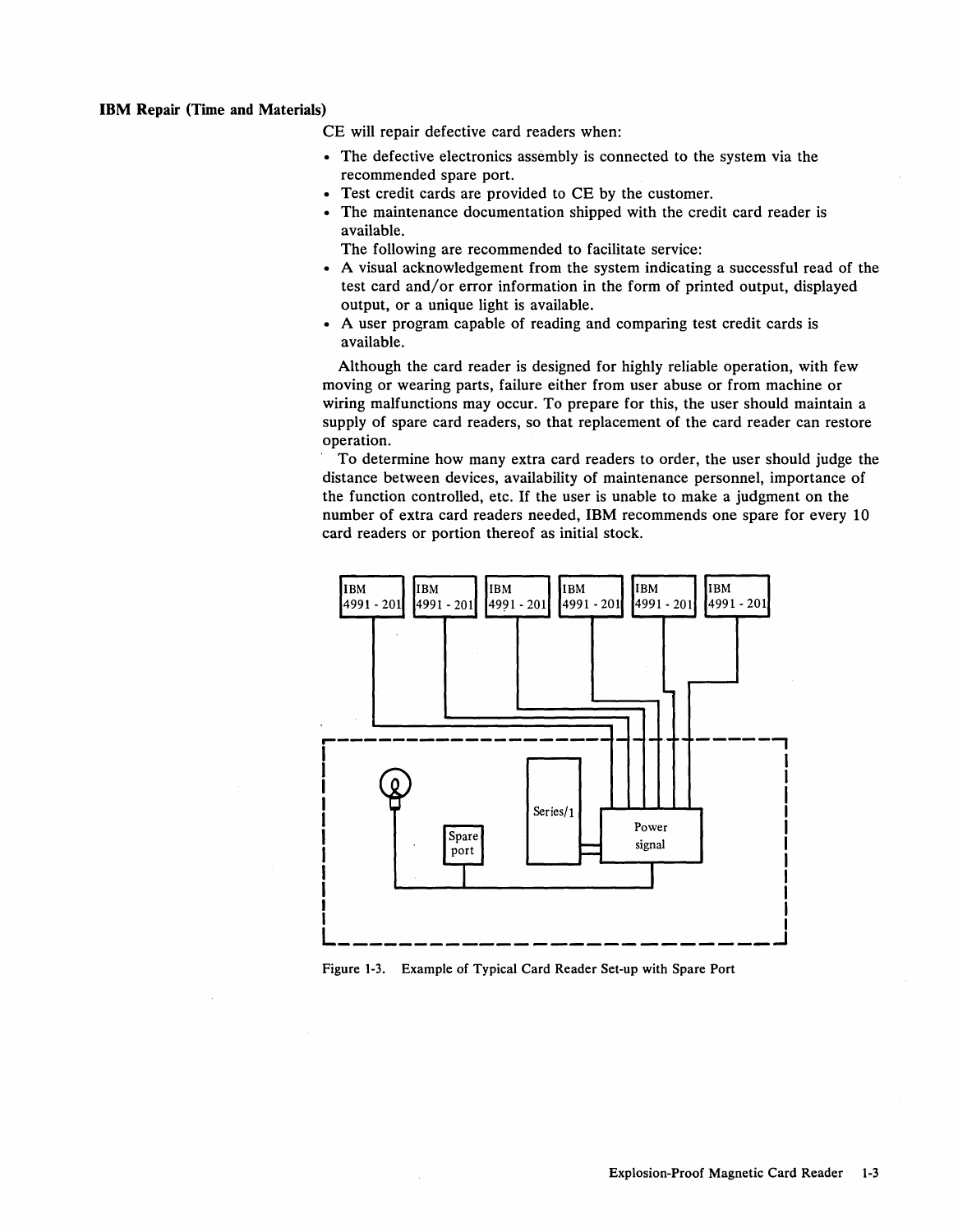#### IBM Repair (Time and Materials)

CE will repair defective card readers when:

- The defective electronics assembly is connected to the system via the recommended spare port.
- Test credit cards are provided to CE by the customer.
- The maintenance documentation shipped with the credit card reader is available.

The following are recommended to facilitate service:

- A visual acknowledgement from the system indicating a successful read of the test card and/or error information in the form of printed output, displayed output, or a unique light is available.
- A user program capable of reading and comparing test credit cards is available.

Although the card reader is designed for highly reliable operation, with few moving or wearing parts, failure either from user abuse or from machine or wiring malfunctions may occur. To prepare for this, the user should maintain a supply of spare card readers, so that replacement of the card reader can restore operation.

· To determine how many extra card readers to order, the user should judge the distance between devices, availability of maintenance personnel, importance of the function controlled, etc. If the user is unable to make a judgment on the number of extra card readers needed, IBM recommends one spare for every 10 card readers or portion thereof as initial stock.



Figure 1-3. Example of Typical Card Reader Set-up with Spare Port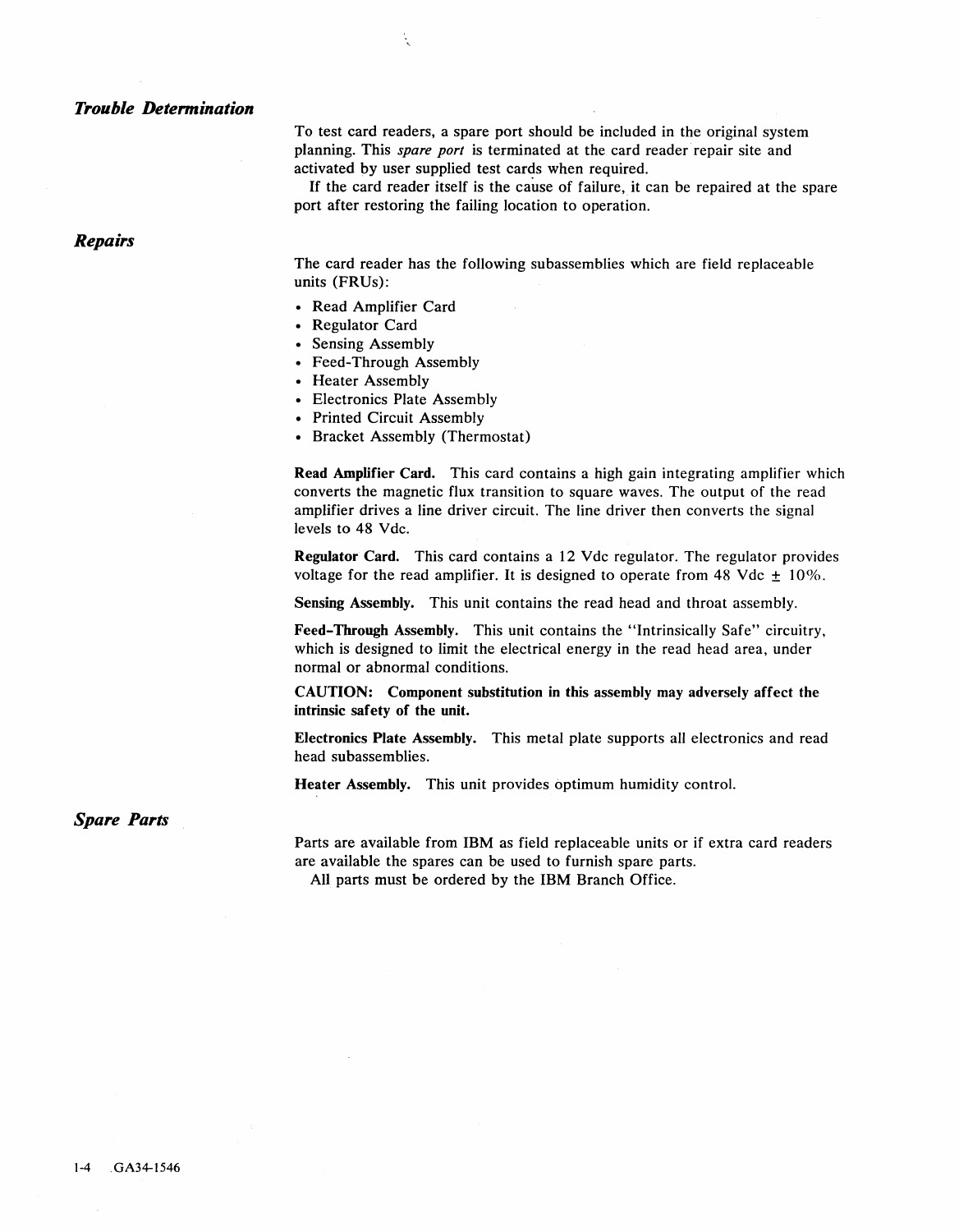#### *Trouble Determination*

To test card readers, a spare port should be included in the original system planning. This *spare port* is terminated at the card reader repair site and activated by user supplied test cards when required.

If the card reader itself is the cause of failure, it can be repaired at the spare port after restoring the failing location to operation.

*Repairs* 

The card reader has the following subassemblies which are field replaceable units (FRUs):

• Read Amplifier Card

• Regulator Card

• Sensing Assembly

• Feed-Through Assembly

• Heater Assembly

• Electronics Plate Assembly

• Printed Circuit Assembly

• Bracket Assembly (Thermostat)

Read Amplifier Card. This card contains a high gain integrating amplifier which converts the magnetic flux transition to square waves. The output of the read amplifier drives a line driver circuit. The line driver then converts the signal levels to 48 Vdc.

Regulator Card. This card contains a 12 Vdc regulator. The regulator provides voltage for the read amplifier. It is designed to operate from 48 Vdc  $\pm$  10%.

Sensing Assembly. This unit contains the read head and throat assembly.

Feed-Through Assembly. This unit contains the "Intrinsically Safe" circuitry, which is designed to limit the electrical energy in the read head area, under normal or abnormal conditions.

CAUTION: Component substitution in this assembly may adversely affect the intrinsic safety of the unit.

Electronics Plate Assembly. This metal plate supports all electronics and read head subassemblies.

Heater Assembly. This unit provides optimum humidity control.

*Spare Parts* 

Parts are available from IBM as field replaceable units or if extra card readers are available the spares can be used to furnish spare parts. All parts must be ordered by the IBM Branch Office.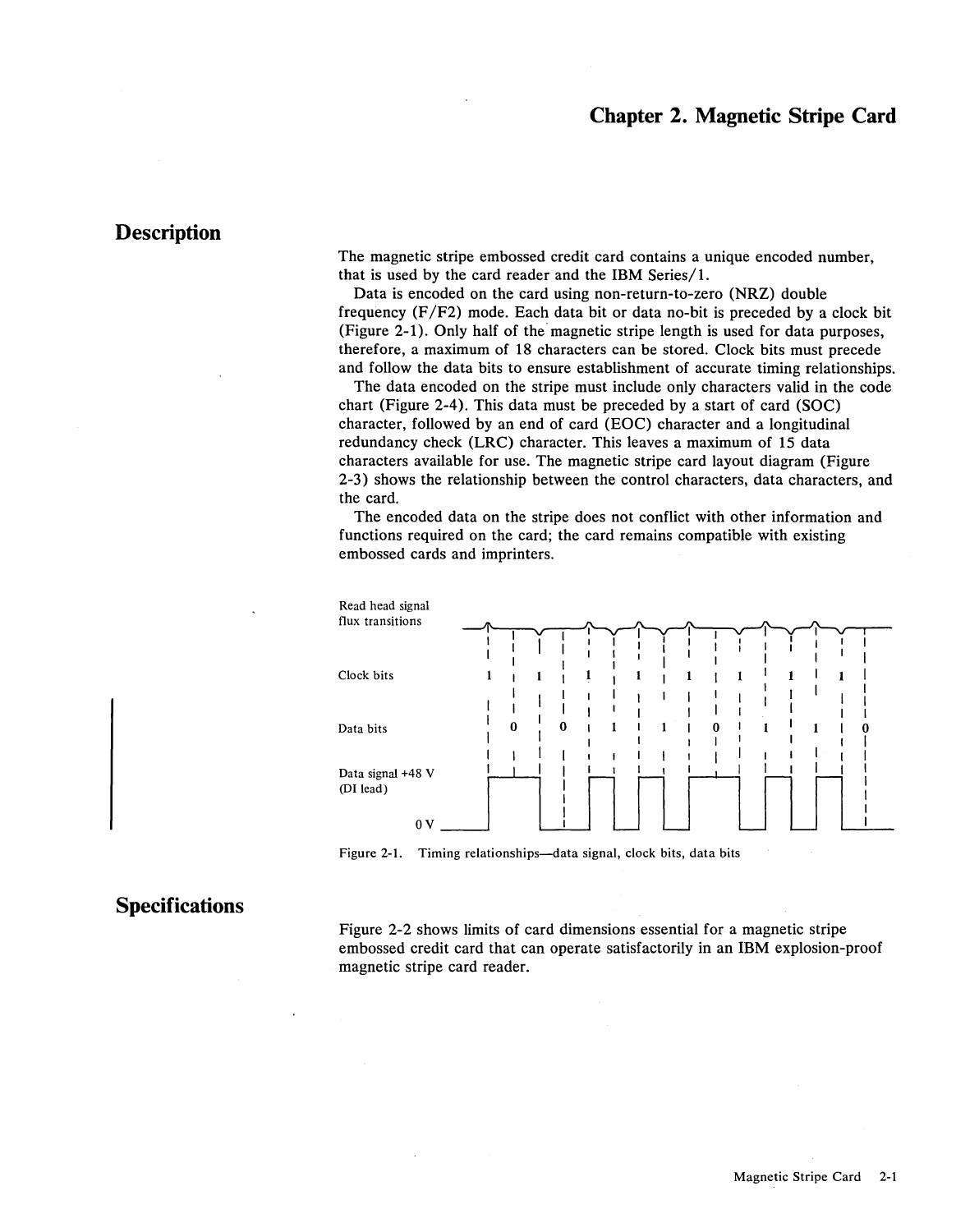# **Chapter 2. Magnetic Stripe Card**

## **Description**

The magnetic stripe embossed credit card contains a unique encoded number, that is used by the card reader and the IBM Series/ 1.

Data is encoded on the card using non-return-to-zero (NRZ) double frequency  $(F/F2)$  mode. Each data bit or data no-bit is preceded by a clock bit (Figure 2-1). Only half of the· magnetic stripe length is used for data purposes, therefore, a maximum of 18 characters can be stored. Clock bits must precede and follow the data bits to ensure establishment of accurate timing relationships.

The data encoded on the stripe must include only characters valid in the code chart (Figure 2-4). This data must be preceded by a start of card (SOC) character, followed by an end of card (EOC) character and a longitudinal redundancy check (LRC) character. This leaves a maximum of 15 data characters available for use. The magnetic stripe card layout diagram (Figure 2-3) shows the relationship between the control characters, data characters, and the card.

The encoded data on the stripe does not conflict with other information and functions required on the card; the card remains compatible with existing embossed cards and imprinters.



Figure 2-1. Timing relationships—data signal, clock bits, data bits

# **Specifications**

Figure 2-2 shows limits of card dimensions essential for a magnetic stripe embossed credit card that can operate satisfactorily in an IBM explosion-proof magnetic stripe card reader.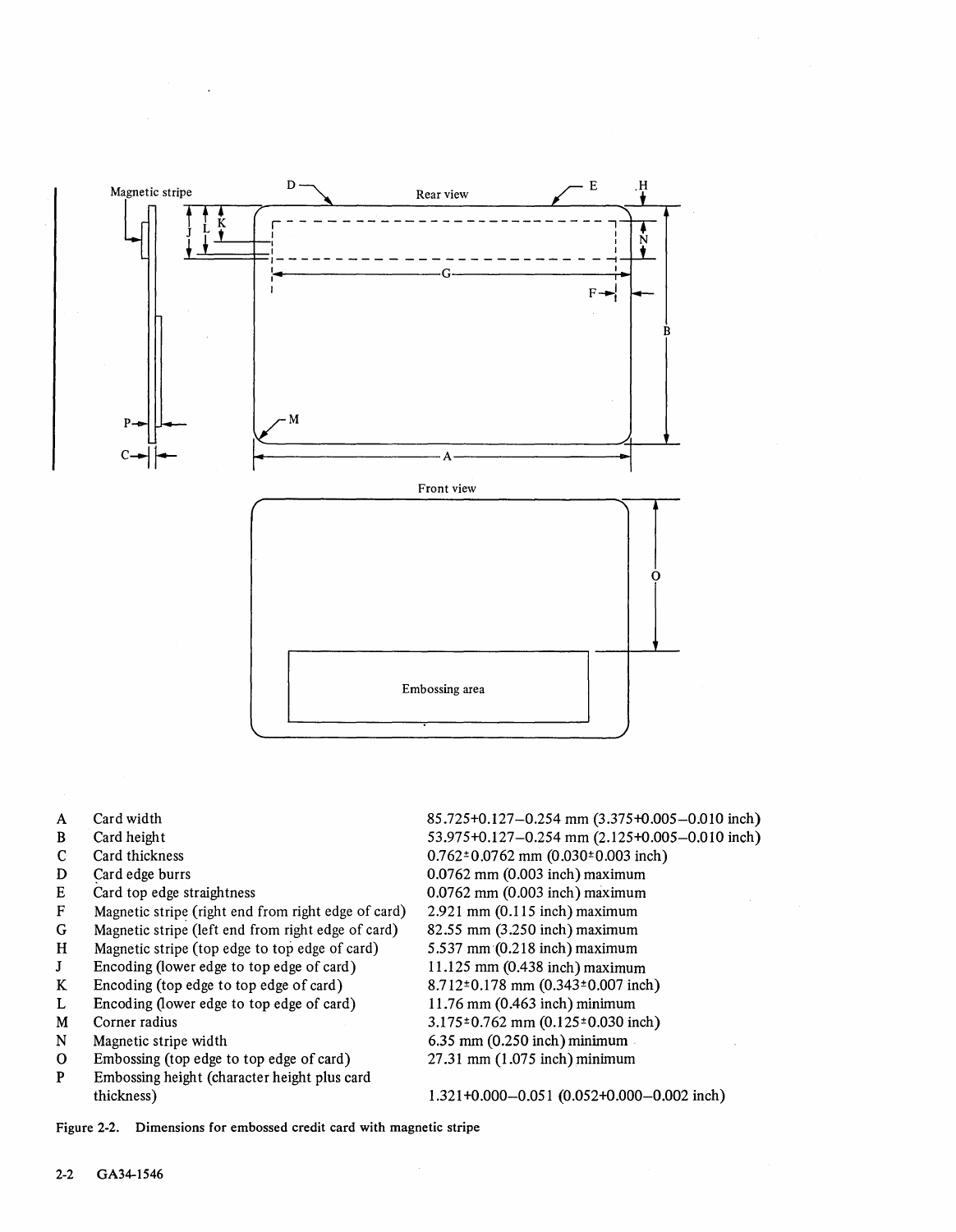

- A Card width
- B Card height
- c Card thickness
- D Card edge burrs
- E Card top edge straightness
- F Magnetic stripe (right end from right edge of card)
- G Magnetic stripe (left end from right edge of card)
- H Magnetic stripe (top edge to top edge of card)
- J Encoding (lower edge to top edge of card)
- K Encoding (top edge to top edge of card)
- L Encoding Qower edge to top edge of card)
- M Corner radius
- N Magnetic stripe width
- 0 Embossing (top edge to top edge of card)
- p Embossing height (character height plus card thickness)

85.725+0.127-0.254 mm (3.375+o.005-0.0IO inch) 53.975+0.127-0.254 mm (2.125+o.005-0.0IO inch) 0.762±0.0762 mm (0.030±0.003 inch) 0.0762 mm (0.003 inch) maximum 0.0762 mm (0.003 inch) maximum 2.921 mm (0.115 inch) maximum 82.55 mm (3.250 inch) maximum 5.537 mm·(0.218 inch) maximum 11.125 mm (0.438 inch) maximum 8.712±0.178 mm (0.343±0.007 inch) 11.76 mm (0.463 inch) minimum 3.175±0.762 mm (0.125±0.030 inch)

- 6.35 mm (0.250 inch) minimum .
- 27.31 mm (1.075 inch) minimum

1.321 +0.000-0.051 (0.052+0.000-0.002 inch)

Figure 2-2. Dimensions for embossed credit card with magnetic stripe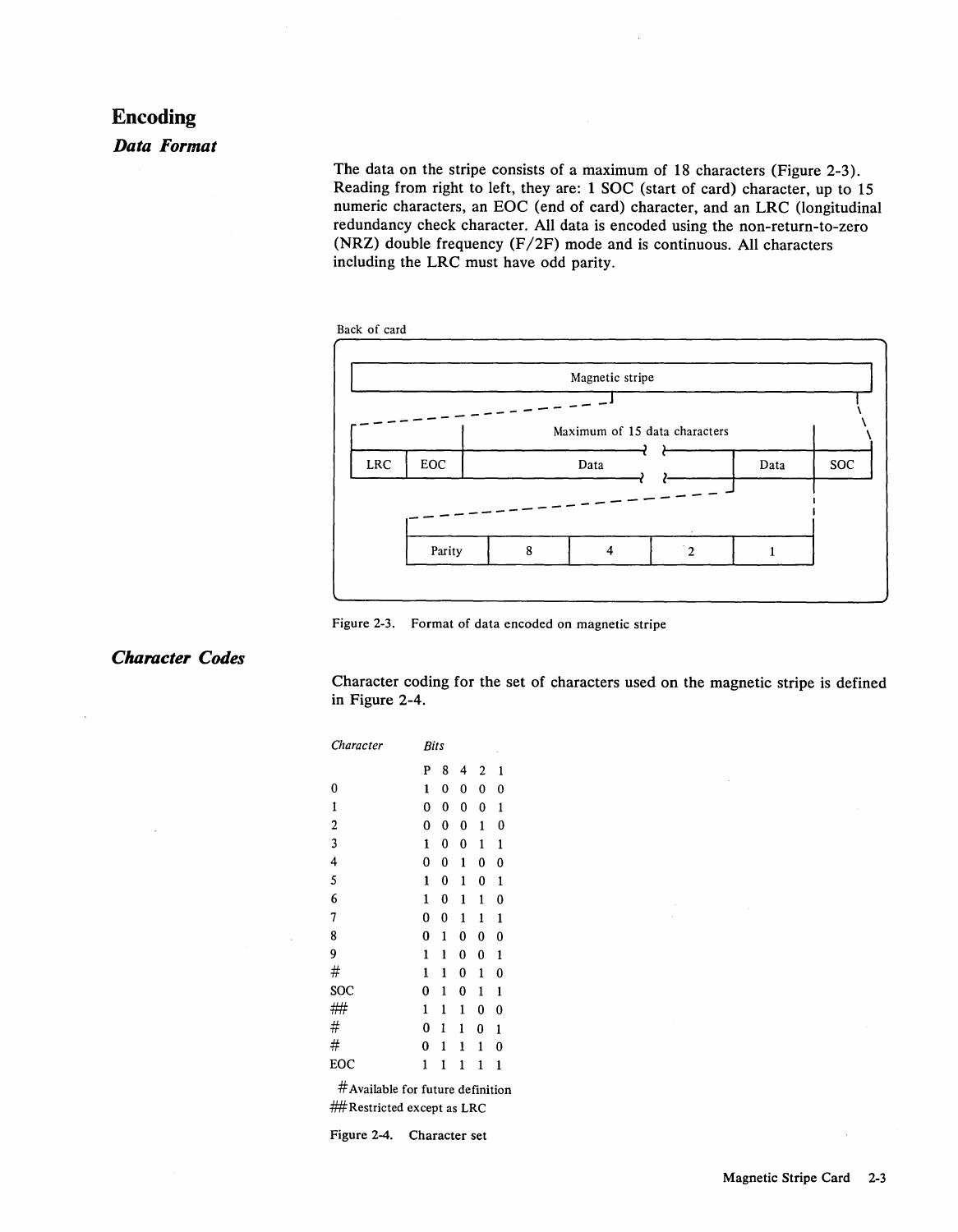# **Encoding**

*Data Format* 

The data on the stripe consists of a maximum of 18 characters (Figure 2-3). Reading from right to left, they are: 1 SOC (start of card) character, up to 15 numeric characters, an EOC (end of card) character, and an LRC (longitudinal redundancy check character. All data is encoded using the non-return-to-zero (NRZ) double frequency  $(F/2F)$  mode and is continuous. All characters including the LRC must have odd parity.





Figure 2-3. Format of data encoded on magnetic stripe

#### *Character Codes*

Character coding for the set of characters used on the magnetic stripe is defined in Figure 2-4.

| Character               | Bits<br>i,   |   |   |   |   |
|-------------------------|--------------|---|---|---|---|
|                         | P            | 8 | 4 | 2 | ı |
| 0                       | $\mathbf{1}$ | 0 | 0 | 0 | 0 |
| 1                       | 0            | 0 | 0 | 0 | 1 |
| $\overline{\mathbf{c}}$ | 0            | 0 | 0 | 1 | 0 |
| 3                       | 1            | 0 | 0 | 1 | 1 |
| 4                       | 0            | 0 | 1 | 0 | 0 |
| 5                       | 1            | 0 | 1 | 0 | 1 |
| 6                       | 1            | 0 | 1 | 1 | 0 |
| 7                       | 0            | 0 | 1 | 1 | 1 |
| 8                       | 0            | 1 | 0 | 0 | 0 |
| 9                       | 1            | 1 | 0 | 0 | 1 |
| #                       | 1            | 1 | 0 | 1 | 0 |
| soc                     | 0            | 1 | 0 | 1 | 1 |
| ##                      | 1            | ı | 1 | 0 | 0 |
| #                       | 0            | 1 | 1 | 0 | 1 |
| #                       | 0            | 1 | 1 | 1 | 0 |
| EOC                     | $\mathbf{1}$ | 1 | 1 | 1 | 1 |

#Available for future definition ##Restricted except as LRC

Figure 2-4. Character set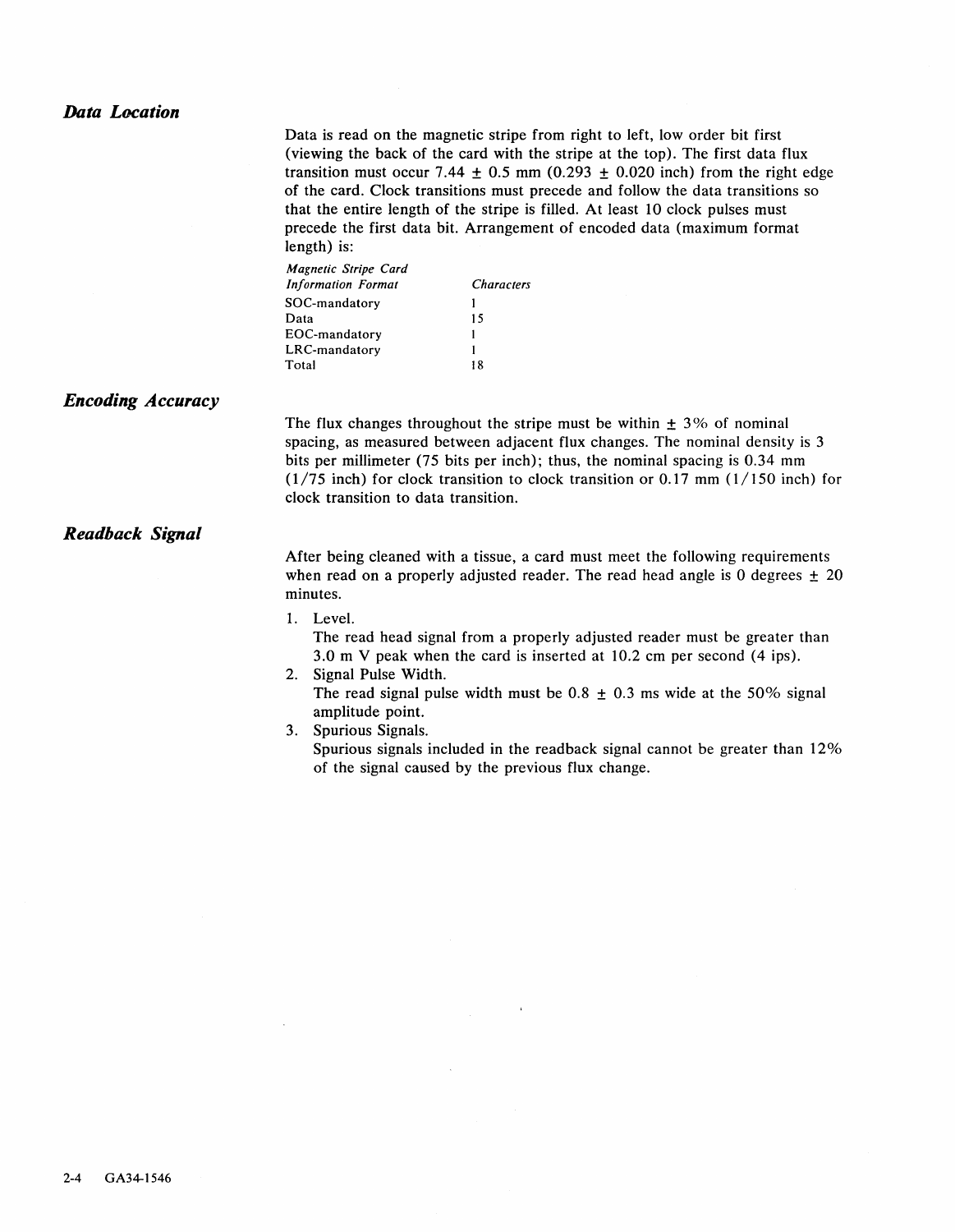# *Data Location*

|                          | length) is:                                                                                                           | Data is read on the magnetic stripe from right to left, low order bit first<br>(viewing the back of the card with the stripe at the top). The first data flux<br>transition must occur 7.44 $\pm$ 0.5 mm (0.293 $\pm$ 0.020 inch) from the right edge<br>of the card. Clock transitions must precede and follow the data transitions so<br>that the entire length of the stripe is filled. At least 10 clock pulses must<br>precede the first data bit. Arrangement of encoded data (maximum format                                             |
|--------------------------|-----------------------------------------------------------------------------------------------------------------------|-------------------------------------------------------------------------------------------------------------------------------------------------------------------------------------------------------------------------------------------------------------------------------------------------------------------------------------------------------------------------------------------------------------------------------------------------------------------------------------------------------------------------------------------------|
|                          | Magnetic Stripe Card<br><b>Information Format</b><br>SOC-mandatory<br>Data<br>EOC-mandatory<br>LRC-mandatory<br>Total | <b>Characters</b><br>$\mathbf{1}$<br>15<br>$\mathbf{1}$<br>$\mathbf{1}$<br>18                                                                                                                                                                                                                                                                                                                                                                                                                                                                   |
| <b>Encoding Accuracy</b> | clock transition to data transition.                                                                                  | The flux changes throughout the stripe must be within $\pm$ 3% of nominal<br>spacing, as measured between adjacent flux changes. The nominal density is 3<br>bits per millimeter (75 bits per inch); thus, the nominal spacing is 0.34 mm<br>$(1/75$ inch) for clock transition to clock transition or 0.17 mm $(1/150$ inch) for                                                                                                                                                                                                               |
| Readback Signal          | minutes.<br>1. Level.<br>2. Signal Pulse Width.<br>amplitude point.<br>3. Spurious Signals.                           | After being cleaned with a tissue, a card must meet the following requirements<br>when read on a properly adjusted reader. The read head angle is 0 degrees $\pm$ 20<br>The read head signal from a properly adjusted reader must be greater than<br>3.0 m V peak when the card is inserted at $10.2$ cm per second (4 ips).<br>The read signal pulse width must be $0.8 \pm 0.3$ ms wide at the 50% signal<br>Spurious signals included in the readback signal cannot be greater than 12%<br>of the signal caused by the previous flux change. |

 $\mathcal{L}^{\text{max}}_{\text{max}}$ 

 $\Delta \sim 1$ 

 $\sim$   $\sim$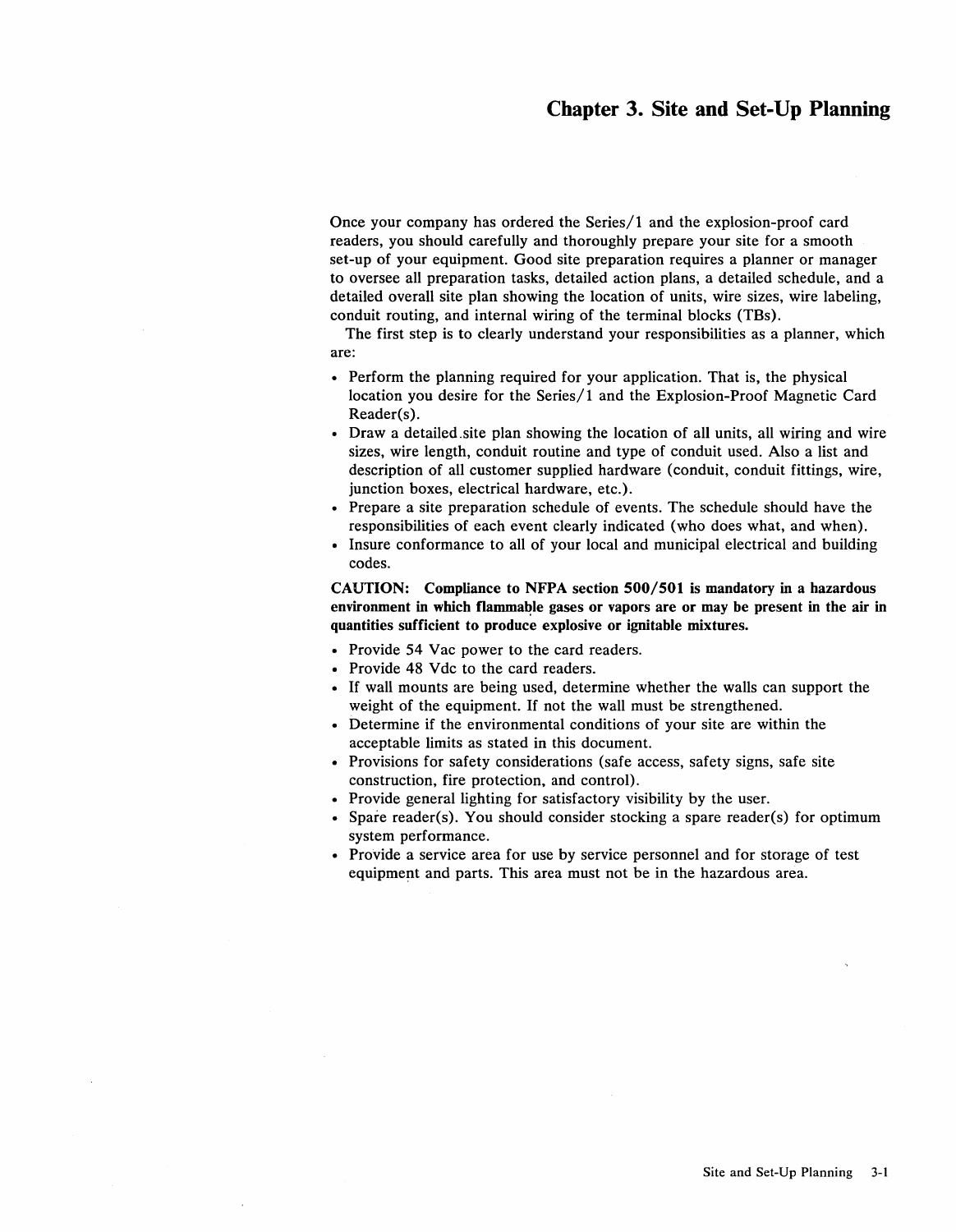## Chapter 3. Site and Set-Up Planning

Once your company has ordered the Series/ 1 and the explosion-proof card readers, you should carefully and thoroughly prepare your site for a smooth set-up of your equipment. Good site preparation requires a planner or manager to oversee all preparation tasks, detailed action plans, a detailed schedule, and a detailed overall site plan showing the location of units, wire sizes, wire labeling, conduit routing, and internal wiring of the terminal blocks (TBs).

The first step is to clearly understand your responsibilities as a planner, which are:

- Perform the planning required for your application. That is, the physical location you desire for the Series/1 and the Explosion-Proof Magnetic Card Reader(s).
- Draw a detailed .site plan showing the location of all units, all wiring and wire sizes, wire length, conduit routine and type of conduit used. Also a list and description of all customer supplied hardware (conduit, conduit fittings, wire, junction boxes, electrical hardware, etc.).
- Prepare a site preparation schedule of events. The schedule should have the responsibilities of each event clearly indicated (who does what, and when).
- Insure conformance to all of your local and municipal electrical and building codes.

CAUTION: Compliance to NFPA section 500/501 is mandatory in a hazardous environment in which flammable gases or vapors are or may be present in the air in quantities sufficient to produce explosive or ignitable mixtures.

- Provide 54 Vac power to the card readers.
- Provide 48 Vdc to the card readers.
- If wall mounts are being used, determine whether the walls can support the weight of the equipment. If not the wall must be strengthened.
- Determine if the environmental conditions of your site are within the acceptable limits as stated in this document.
- Provisions for safety considerations (safe access, safety signs, safe site construction, fire protection, and control).
- Provide general lighting for satisfactory visibility by the user.
- Spare reader(s). You should consider stocking a spare reader(s) for optimum system performance.
- Provide a service area for use by service personnel and for storage of test equipment and parts. This area must not be in the hazardous area.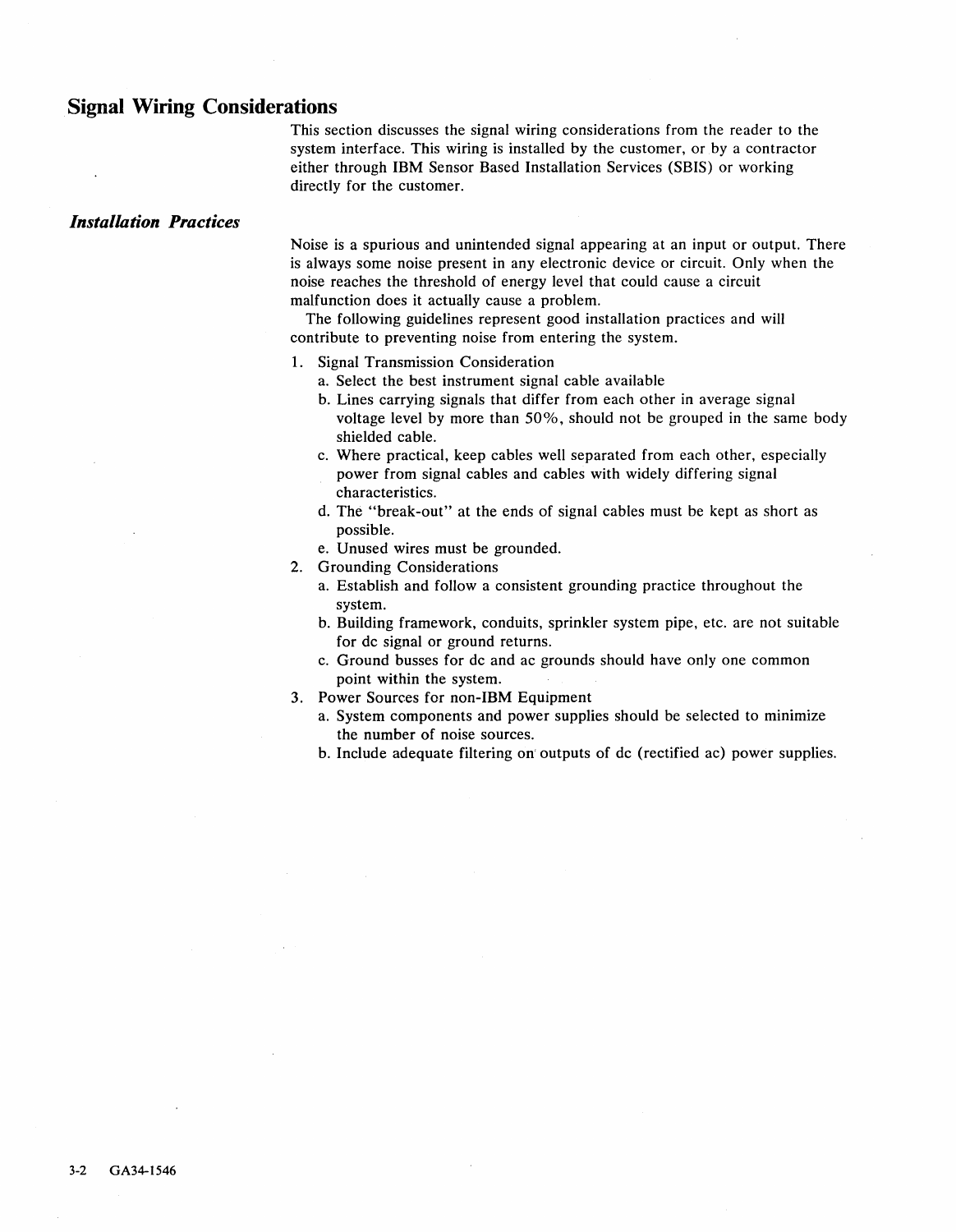### **Signal Wiring Considerations**

This section discusses the signal wiring considerations from the reader to the system interface. This wiring is installed by the customer, or by a contractor either through IBM Sensor Based Installation Services (SBIS) or working directly for the customer.

#### *Installation Practices*

Noise is a spurious and unintended signal appearing at an input or output. There is always some noise present in any electronic device or circuit. Only when the noise reaches the threshold of energy level that could cause a circuit malfunction does it actually cause a problem.

The following guidelines represent good installation practices and will contribute to preventing noise from entering the system.

- 1. Signal Transmission Consideration
	- a. Select the best instrument signal cable available
	- b. Lines carrying signals that differ from each other in average signal voltage level by more than 50%, should not be grouped in the same body shielded cable.
	- c. Where practical, keep cables well separated from each other, especially power from signal cables and cables with widely differing signal characteristics.
	- d. The "break-out" at the ends of signal cables must be kept as short as possible.
	- e. Unused wires must be grounded.
- 2. Grounding Considerations
	- a. Establish and follow a consistent grounding practice throughout the system.
	- b. Building framework, conduits, sprinkler system pipe, etc. are not suitable for de signal or ground returns.
	- c. Ground busses for de and ac grounds should have only one common point within the system.
- 3. Power Sources for non-IBM Equipment
	- a. System components and power supplies should be selected to minimize the number of noise sources.
	- b. Include adequate filtering on' outputs of de (rectified ac) power supplies.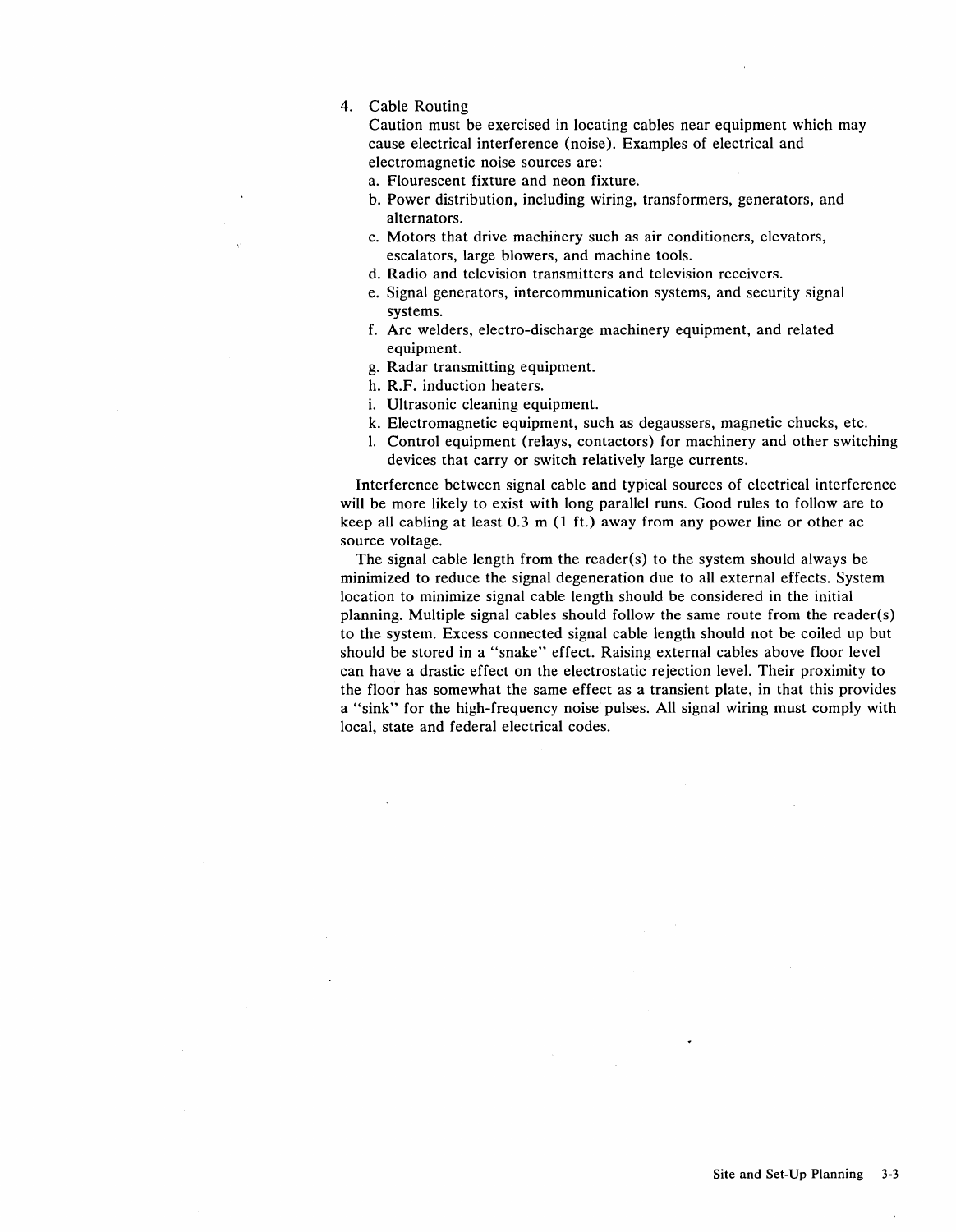#### 4. Cable Routing

Caution must be exercised in locating cables near equipment which may cause electrical interference (noise). Examples of electrical and electromagnetic noise sources are:

a. Flourescent fixture and neon fixture.

- b. Power distribution, including wiring, transformers, generators, and alternators.
- c. Motors that drive machinery such as air conditioners, elevators, escalators, large blowers, and machine tools.
- d. Radio and television transmitters and television receivers.
- e. Signal generators, intercommunication systems, and security signal systems.
- f. Arc welders, electro-discharge machinery equipment, and related equipment.
- g. Radar transmitting equipment.
- h. R.F. induction heaters.
- i. Ultrasonic cleaning equipment.
- k. Electromagnetic equipment, such as degaussers, magnetic chucks, etc.
- 1. Control equipment (relays, contactors) for machinery and other switching devices that carry or switch relatively large currents.

Interference between signal cable and typical sources of electrical interference will be more likely to exist with long parallel runs. Good rules to follow are to keep all cabling at least 0.3 m (1 ft.) away from any power line or other ac source voltage.

The signal cable length from the reader(s) to the system should always be minimized to reduce the signal degeneration due to all external effects. System location to minimize signal cable length should be considered in the initial planning. Multiple signal cables should follow the same route from the reader(s) to the system. Excess connected signal cable length should not be coiled up but should be stored in a "snake" effect. Raising external cables above floor level can have a drastic effect on the electrostatic rejection level. Their proximity to the floor has somewhat the same effect as a transient plate, in that this provides a "sink" for the high-frequency noise pulses. All signal wiring must comply with local, state and federal electrical codes.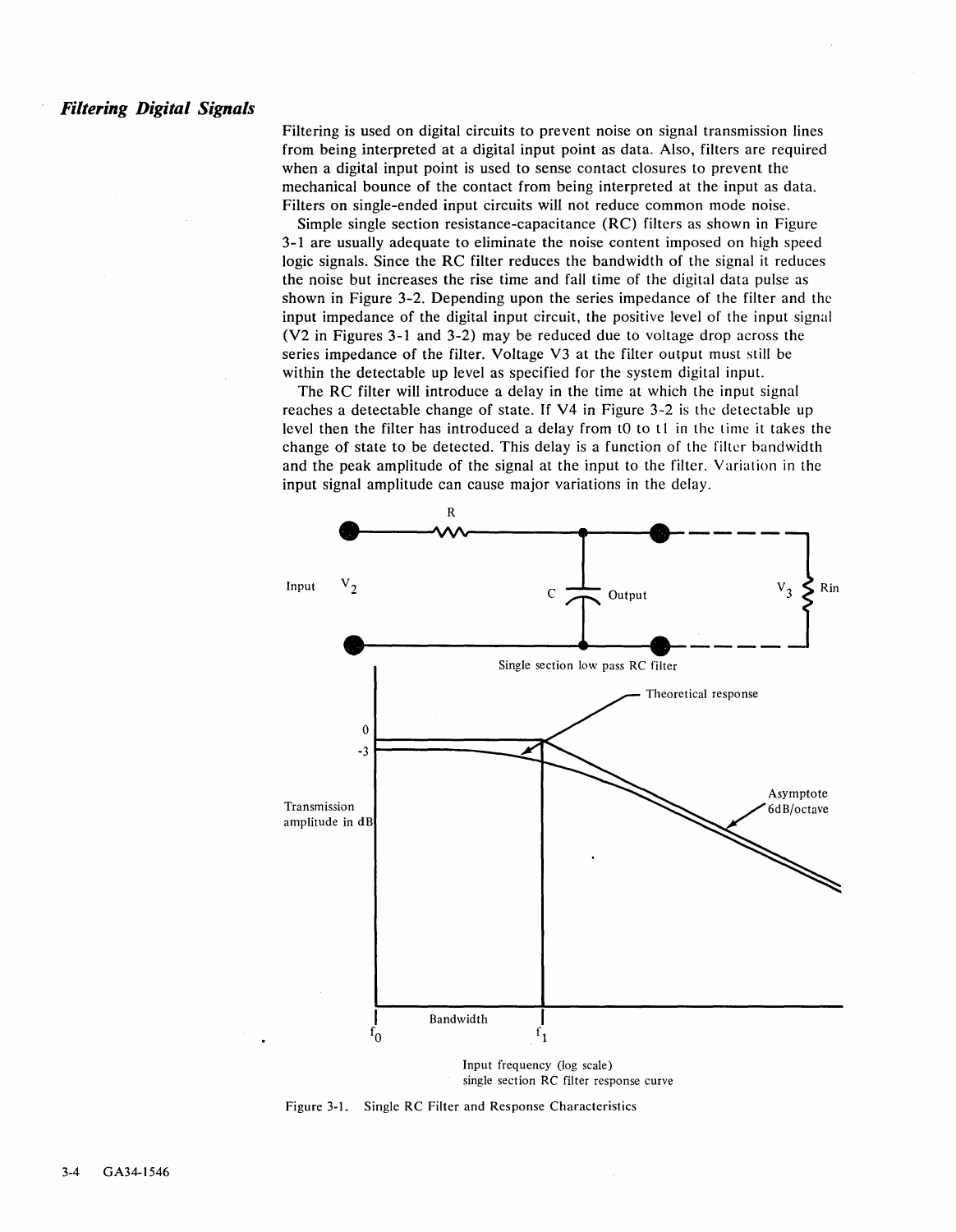Filtering is used on digital circuits to prevent noise on signal transmission lines from being interpreted at a digital input point as data. Also, filters are required when a digital input point is used to sense contact closures to prevent the mechanical bounce of the contact from being interpreted at the input as data. Filters on single-ended input circuits will not reduce common mode noise.

Simple single section resistance-capacitance (RC) filters as shown in Figure 3-1 are usually adequate to eliminate the noise content imposed on high speed logic signals. Since the RC filter reduces the bandwidth of the signal it reduces the noise but increases the rise time and fall time of the digital data pulse as shown in Figure 3-2. Depending upon the series impedance of the filter and the input impedance of the digital input circuit, the positive level of the input signal (V2 in Figures 3-1 and 3-2) may be reduced due to voltage drop across the series impedance of the filter. Voltage V3 at the filter output must still be within the detectable up level as specified for the system digital input.

The RC filter will introduce a delay in the time at which the input signal reaches a detectable change of state. If V4 in Figure 3-2 is the detectable up level then the filter has introduced a delay from to to t1 in the time it takes the change of state to be detected. This delay is a function of the filter bandwidth and the peak amplitude of the signal at the input to the filter. Variation in the input signal amplitude can cause major variations in the delay.



Input frequency (log scale) single section RC filter response curve

Figure 3-1. Single RC Filter and Response Characteristics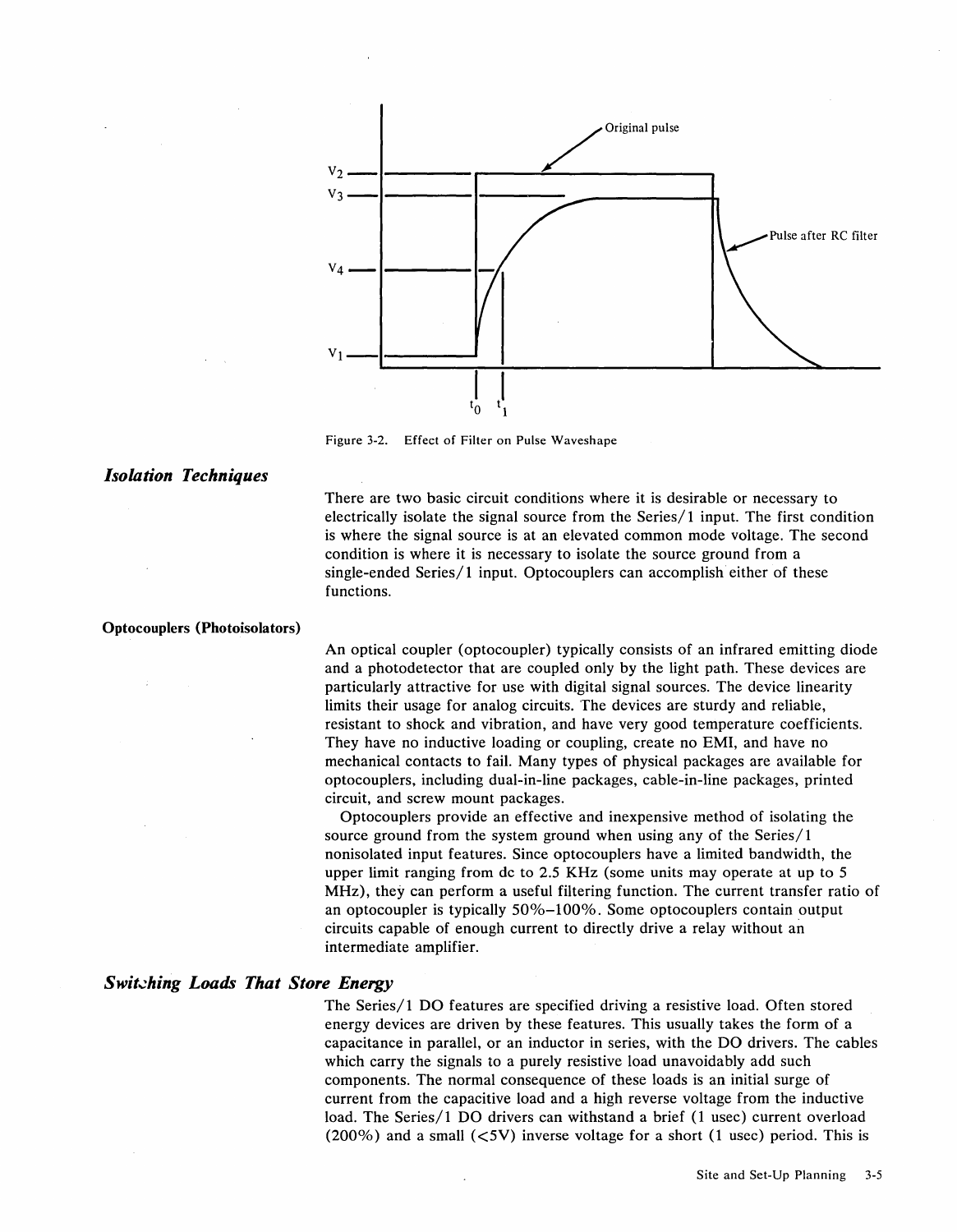

Figure 3-2. Effect of Filter on Pulse Waveshape

#### *Isolation Techniques*

There are two basic circuit conditions where it is desirable or necessary to electrically isolate the signal source from the Series/ 1 input. The first condition is where the signal source is at an elevated common mode voltage. The second condition is where it is necessary to isolate the source ground from a single-ended Series/1 input. Optocouplers can accomplish either of these functions.

#### **Optocouplers (Photoisolators)**

An optical coupler (optocoupler) typically consists of an infrared emitting diode and a photodetector that are coupled only by the light path. These devices are particularly attractive for use with digital signal sources. The device linearity limits their usage for analog circuits. The devices are sturdy and reliable, resistant to shock and vibration, and have very good temperature coefficients. They have no inductive loading or coupling, create no EMI, and have no mechanical contacts to fail. Many types of physical packages are available for optocouplers, including dual-in-line packages, cable-in-line packages, printed circuit, and screw mount packages.

Optocouplers provide an effective and inexpensive method of isolating the source ground from the system ground when using any of the Series/ 1 nonisolated input features. Since optocouplers have a limited bandwidth, the upper limit ranging from de to 2.5 KHz (some units may operate at up to 5 MHz), they can perform a useful filtering function. The current transfer ratio of an optocoupler is typically  $50\% - 100\%$ . Some optocouplers contain output circuits capable of enough current to directly drive a relay without an intermediate amplifier.

#### *Switching Loads That Store Energy*

The Series/1 DO features are specified driving a resistive load. Often stored energy devices are driven by these features. This usually takes the form of a capacitance in parallel, or an inductor in series, with the DO drivers. The cables which carry the signals to a purely resistive load unavoidably add such components. The normal consequence of these loads is an initial surge of current from the capacitive load and a high reverse voltage from the inductive load. The Series/1 DO drivers can withstand a brief (1 usec) current overload (200%) and a small  $\langle$  <5V) inverse voltage for a short (1 usec) period. This is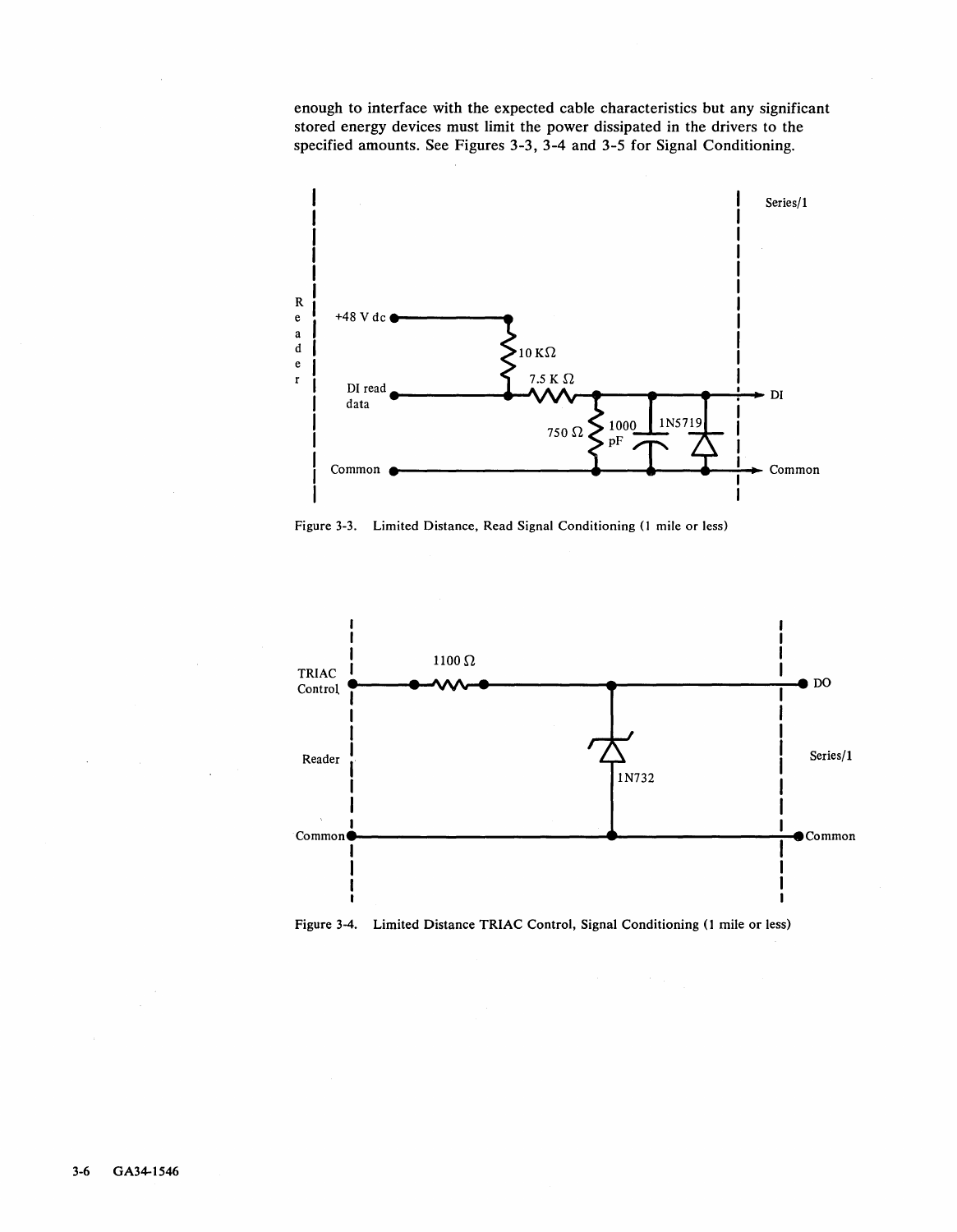enough to interface with the expected cable characteristics but any significant stored energy devices must limit the power dissipated in the drivers to the specified amounts. See Figures 3-3, 3-4 and 3-5 for Signal Conditioning.



Figure 3-3. Limited Distance, Read Signal Conditioning (I mile or less)



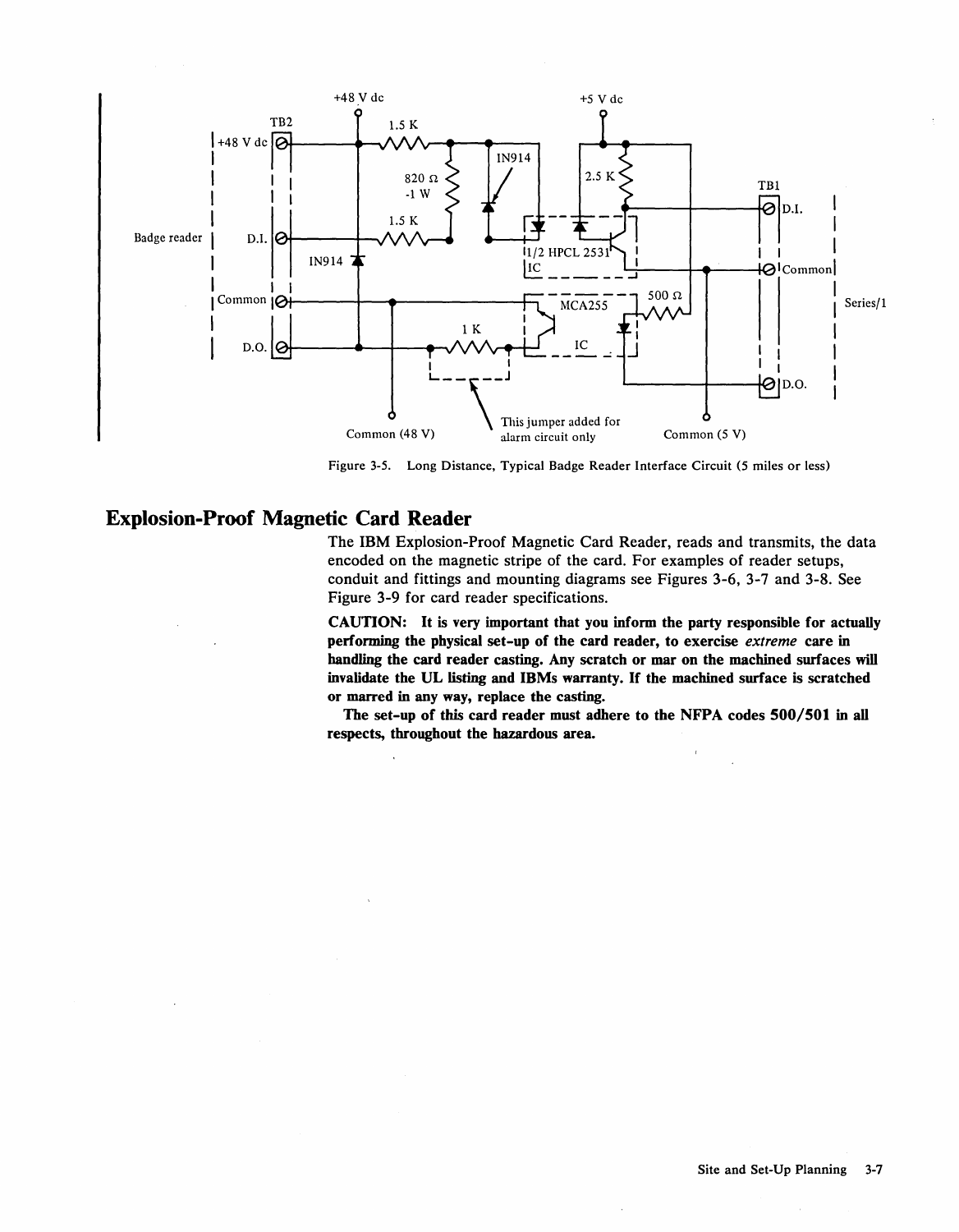

Figure 3-5. Long Distance, Typical Badge Reader Interlace Circuit (5 miles or less)

# Explosion-Proof Magnetic Card Reader

The IBM Explosion-Proof Magnetic Card Reader, reads and transmits, the data encoded on the magnetic stripe of the card. For examples of reader setups, conduit and fittings and mounting diagrams see Figures 3-6, 3-7 and 3-8. See Figure 3-9 for card reader specifications.

CAUTION: It is very important that you inform the party responsible for actually performing the physical set-up of the card reader, to exercise *extreme* care in handling the card reader casting. Any scratch or mar on the machined surfaces will invalidate the UL listing and IBMs warranty. If the machined surface is scratched or marred in any way, replace the casting.

The set-up of this card reader must adhere to the NFPA codes 500/501 in all respects, throughout the hazardous area.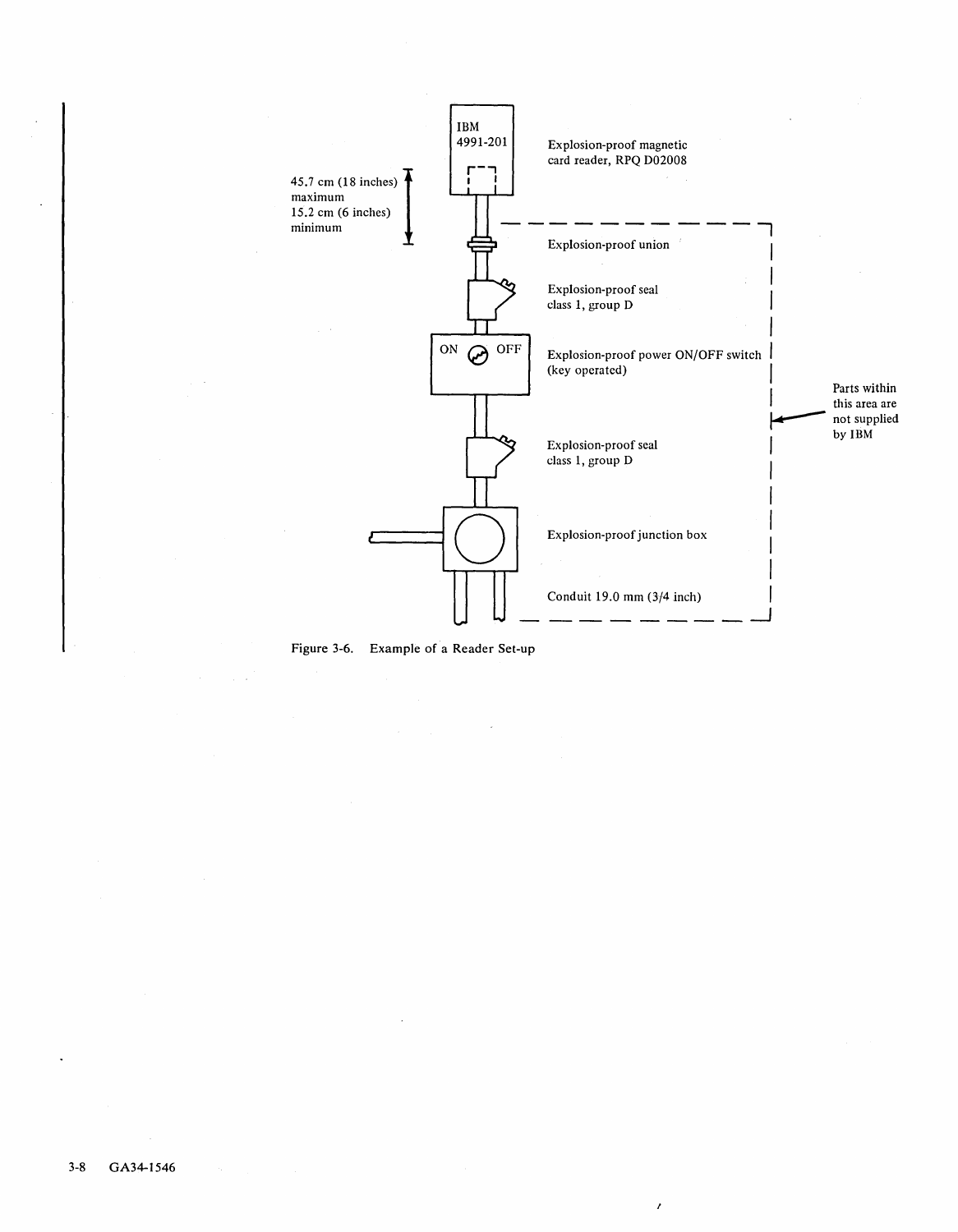

ı

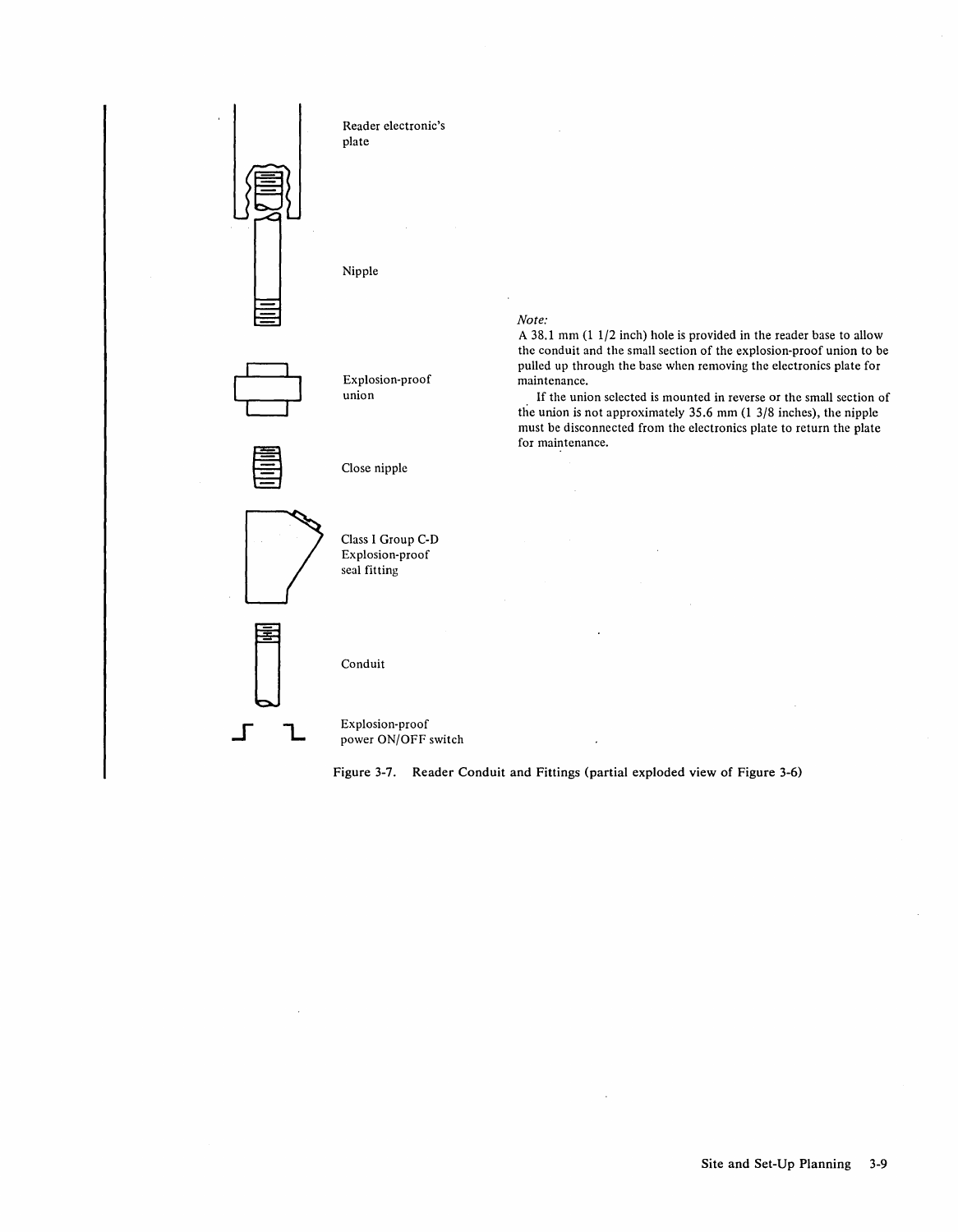

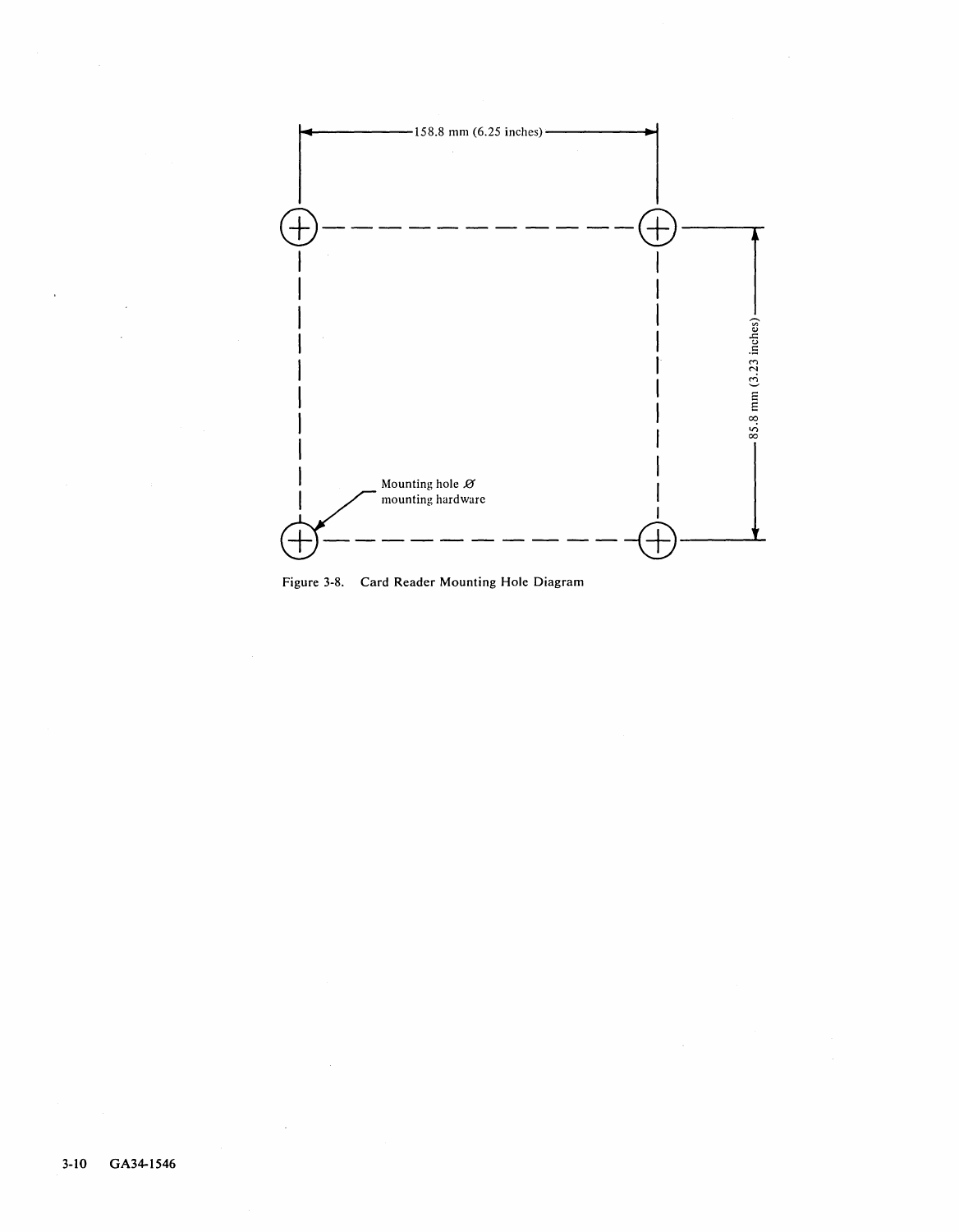

Figure 3-8. Card Reader Mounting Hole Diagram

 $\hat{\mathcal{A}}$ 

l,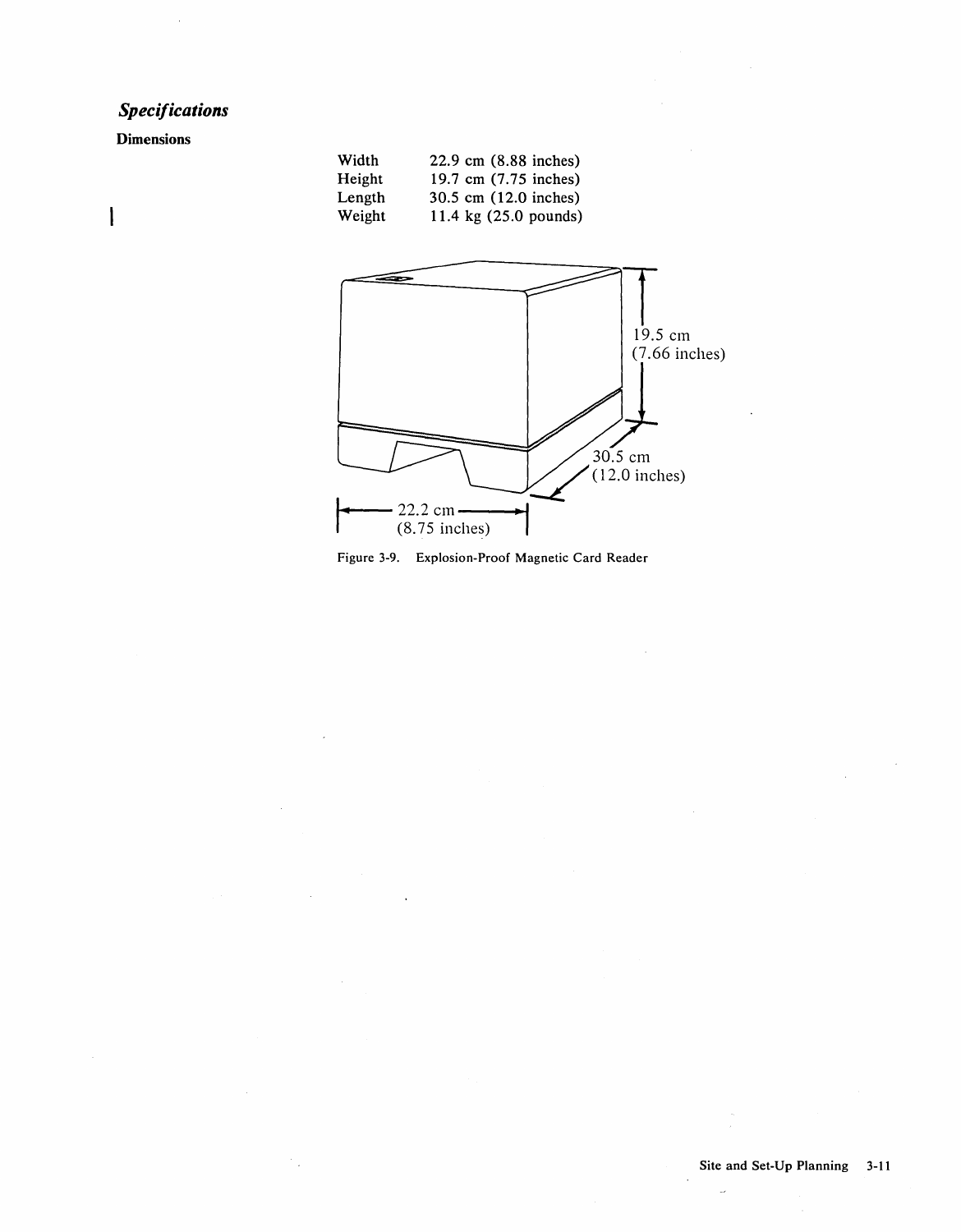# *Specifications*

**Dimensions** 

 $\mathbf{I}$ 

| Width  | 22.9 cm (8.88 inches) |
|--------|-----------------------|
| Height | 19.7 cm (7.75 inches) |
| Length | 30.5 cm (12.0 inches) |
| Weight | 11.4 kg (25.0 pounds) |





 $\mathcal{A}$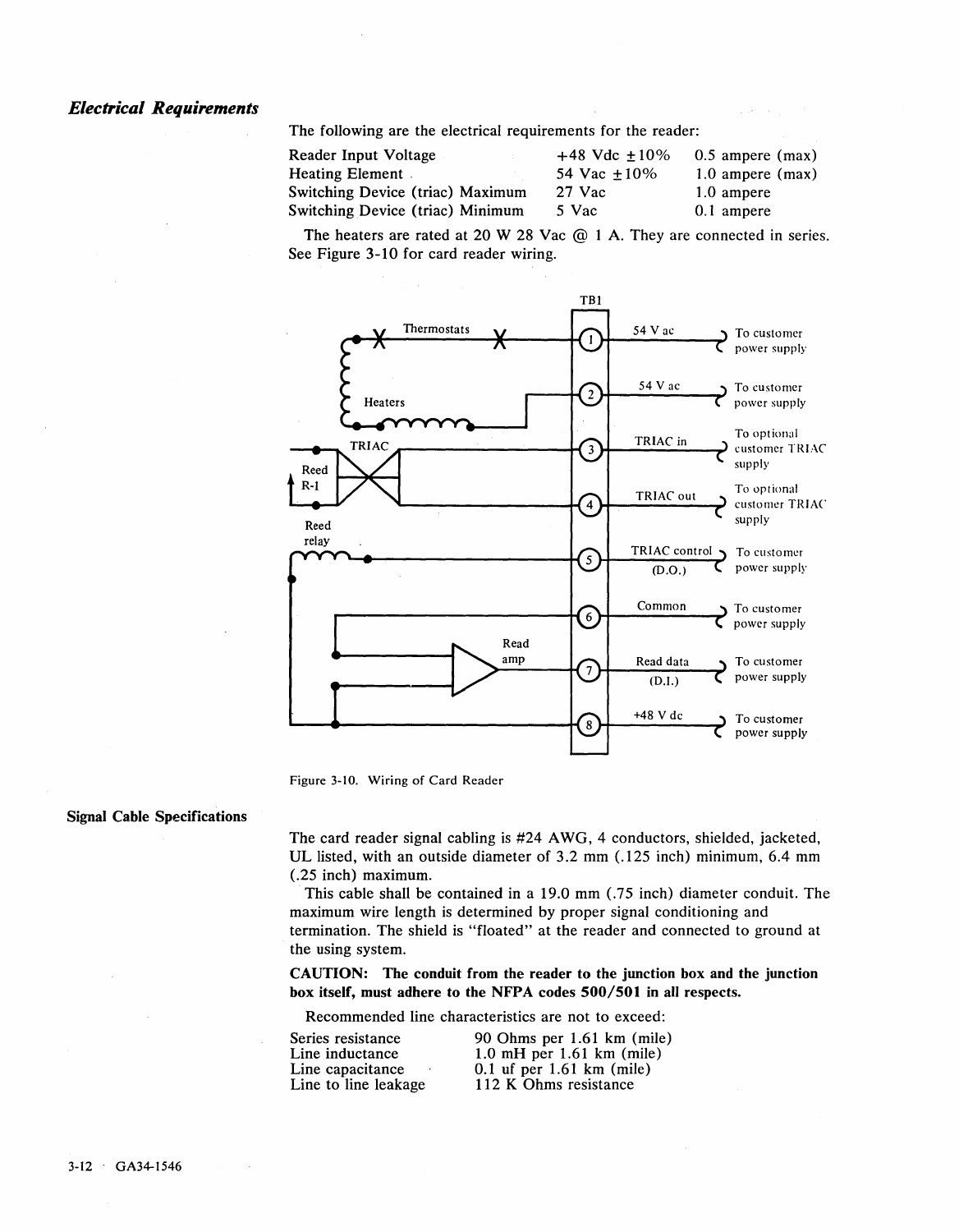#### *Electrical Requirements*

The following are the electrical requirements for the reader:

| Reader Input Voltage             | $+48$ Vdc $\pm 10\%$ | $0.5$ ampere (max) |
|----------------------------------|----------------------|--------------------|
| <b>Heating Element</b>           | 54 Vac $\pm 10\%$    | $1.0$ ampere (max) |
| Switching Device (triac) Maximum | 27 Vac               | 1.0 ampere         |
| Switching Device (triac) Minimum | 5 Vac                | 0.1 ampere         |

The heaters are rated at 20 W 28 Vac @ 1 A. They are connected in series. See Figure 3-10 for card reader wiring.



Figure 3-10. Wiring of Card Reader

Signal Cable Specifications

The card reader signal cabling is #24 AWG, 4 conductors, shielded, jacketed, UL listed, with an outside diameter of 3.2 mm (.125 inch) minimum, 6.4 mm (.25 inch) maximum.

This cable shall be contained in a 19.0 mm (.75 inch) diameter conduit. The maximum wire length is determined by proper signal conditioning and termination. The shield is "floated" at the reader and connected to ground at the using system.

CAUTION: The conduit from the reader to the junction box and the junction box itself, must adhere to the NFPA codes 500/501 in all respects.

Recommended line characteristics are not to exceed:

| Series resistance    | 90 Ohms per 1.61 km (mile)  |
|----------------------|-----------------------------|
| Line inductance      | 1.0 mH per $1.61$ km (mile) |
| Line capacitance     | $0.1$ uf per 1.61 km (mile) |
| Line to line leakage | 112 K Ohms resistance       |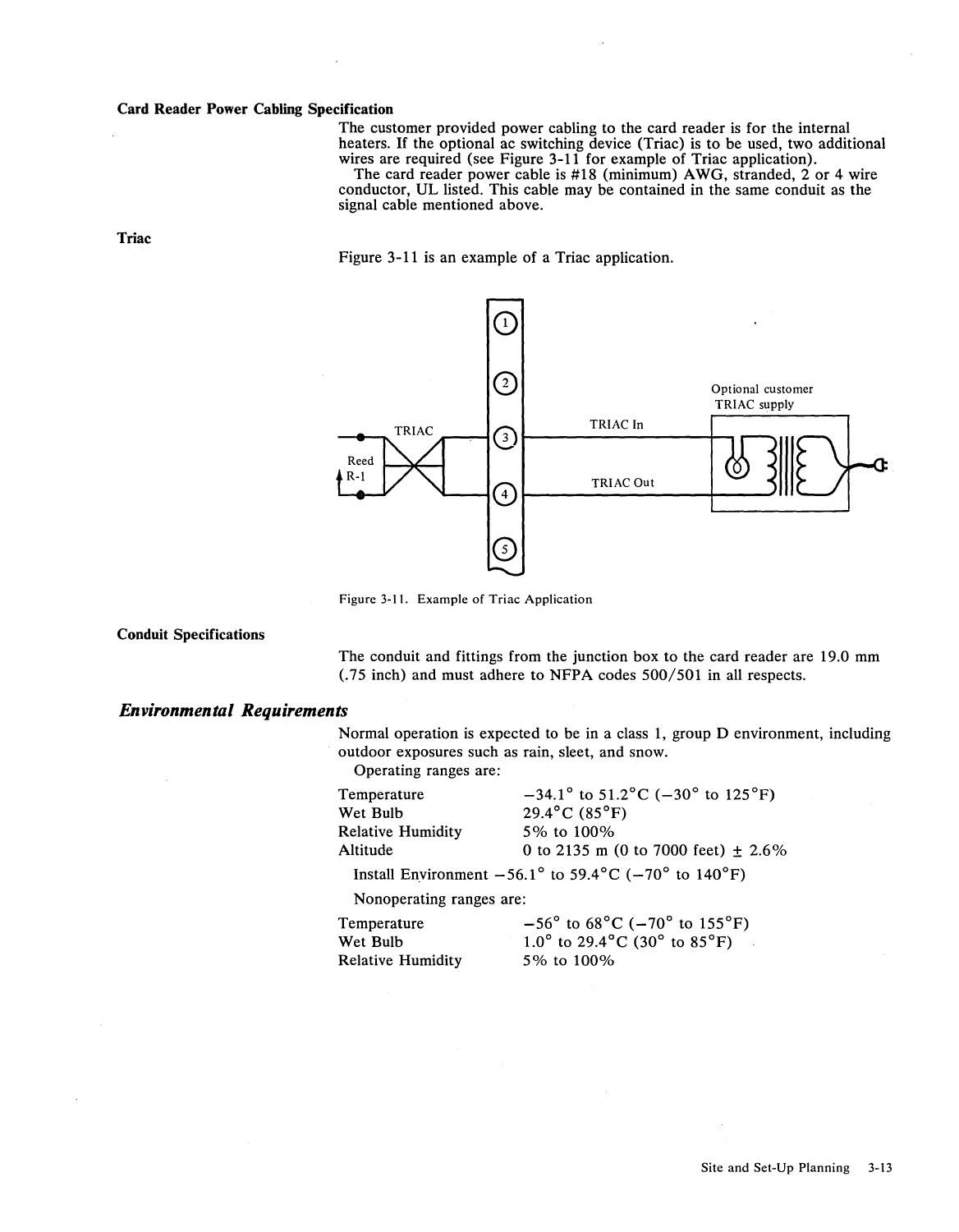#### Card Reader Power Cabling Specification

The customer provided power cabling to the card reader is for the internal heaters. If the optional ac switching device (Triac) is to be used, two additional wires are required (see Figure 3-11 for example of Triac application).

The card reader power cable is #18 (minimum) AWG, stranded, 2 or 4 wire conductor, UL listed. This cable may be contained in the same conduit as the signal cable mentioned above.

Triac

Figure 3-11 is an example of a Triac application.



Figure 3-11. Example of Triac Application

Relative Humidity 5% to 100%

Conduit Specifications

The conduit and fittings from the junction box to the card reader are 19.0 mm (.75 inch) and must adhere to NFPA codes 500/501 in all respects.

#### *Environmental Requirements*

Normal operation is expected to be in a class 1, group D environment, including outdoor exposures such as rain, sleet, and snow.

Operating ranges are:

| Temperature              | $-34.1^{\circ}$ to $51.2^{\circ}$ C ( $-30^{\circ}$ to $125^{\circ}$ F)                     |
|--------------------------|---------------------------------------------------------------------------------------------|
| Wet Bulb                 | $29.4^{\circ}$ C (85 $^{\circ}$ F)                                                          |
| Relative Humidity        | 5% to 100%                                                                                  |
| Altitude                 | 0 to 2135 m (0 to 7000 feet) $\pm 2.6\%$                                                    |
|                          | Install Environment $-56.1^{\circ}$ to $59.4^{\circ}$ C ( $-70^{\circ}$ to $140^{\circ}$ F) |
| Nonoperating ranges are: |                                                                                             |
| Temperature              | $-56^{\circ}$ to $68^{\circ}$ C ( $-70^{\circ}$ to 155°F)                                   |
| Wet Bulb                 | 1.0° to 29.4°C (30° to 85°F)                                                                |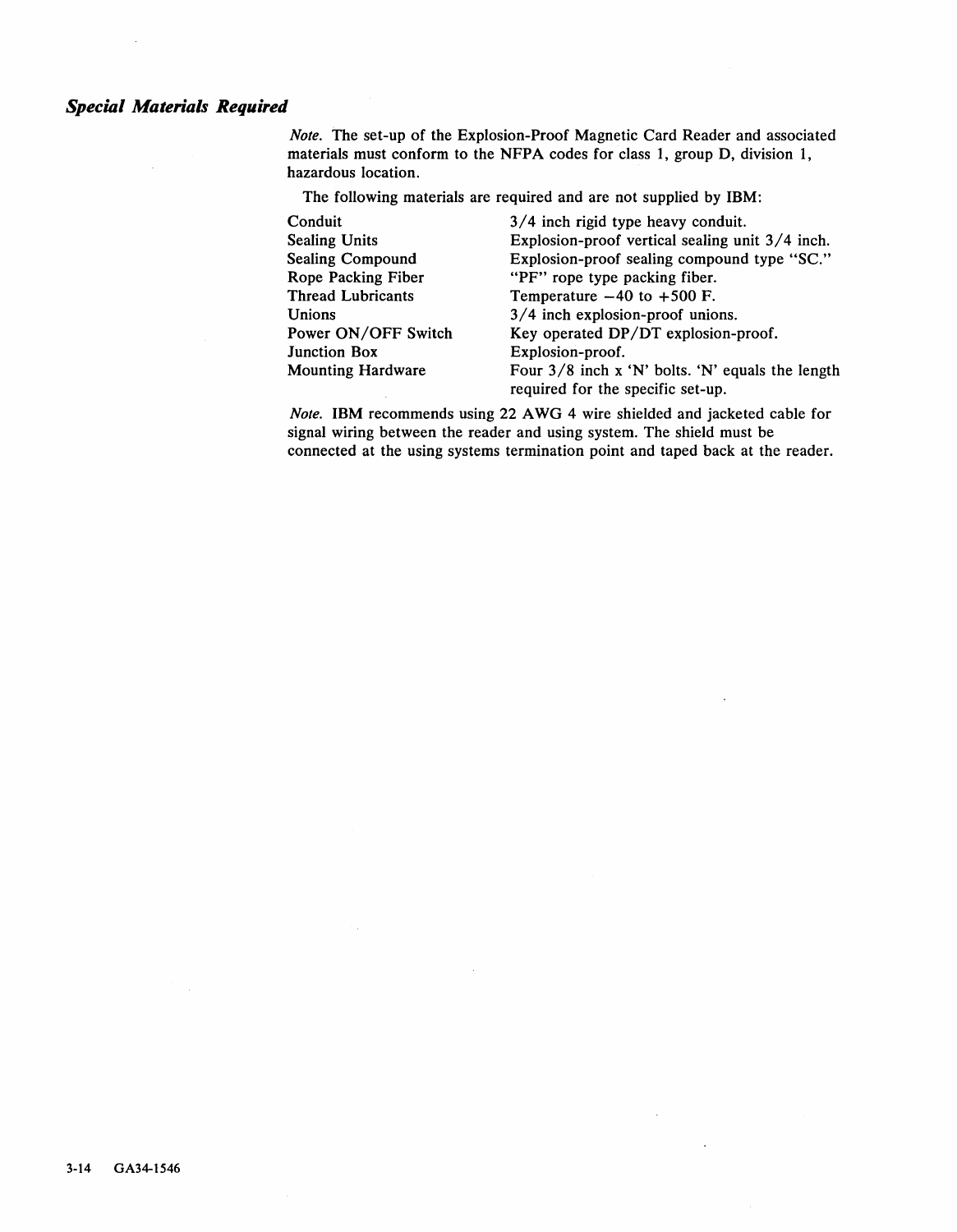#### *Special Materials Required*

*Note.* The set-up of the Explosion-Proof Magnetic Card Reader and associated materials must conform to the NFPA codes for class 1, group D, division 1, hazardous location.

The following materials are required and are not supplied by IBM:

| Conduit                  | $3/4$ inch rigid type heavy conduit.               |
|--------------------------|----------------------------------------------------|
| <b>Sealing Units</b>     | Explosion-proof vertical sealing unit 3/4 inch.    |
| <b>Sealing Compound</b>  | Explosion-proof sealing compound type "SC."        |
| Rope Packing Fiber       | "PF" rope type packing fiber.                      |
| <b>Thread Lubricants</b> | Temperature $-40$ to $+500$ F.                     |
| Unions                   | $3/4$ inch explosion-proof unions.                 |
| Power ON/OFF Switch      | Key operated DP/DT explosion-proof.                |
| <b>Junction Box</b>      | Explosion-proof.                                   |
| <b>Mounting Hardware</b> | Four $3/8$ inch x 'N' bolts. 'N' equals the length |
|                          | required for the specific set-up.                  |

*Note.* IBM recommends using 22 AWG 4 wire shielded and jacketed cable for signal wiring between the reader and using system. The shield must be connected at the using systems termination point and taped back at the reader.

 $\sim$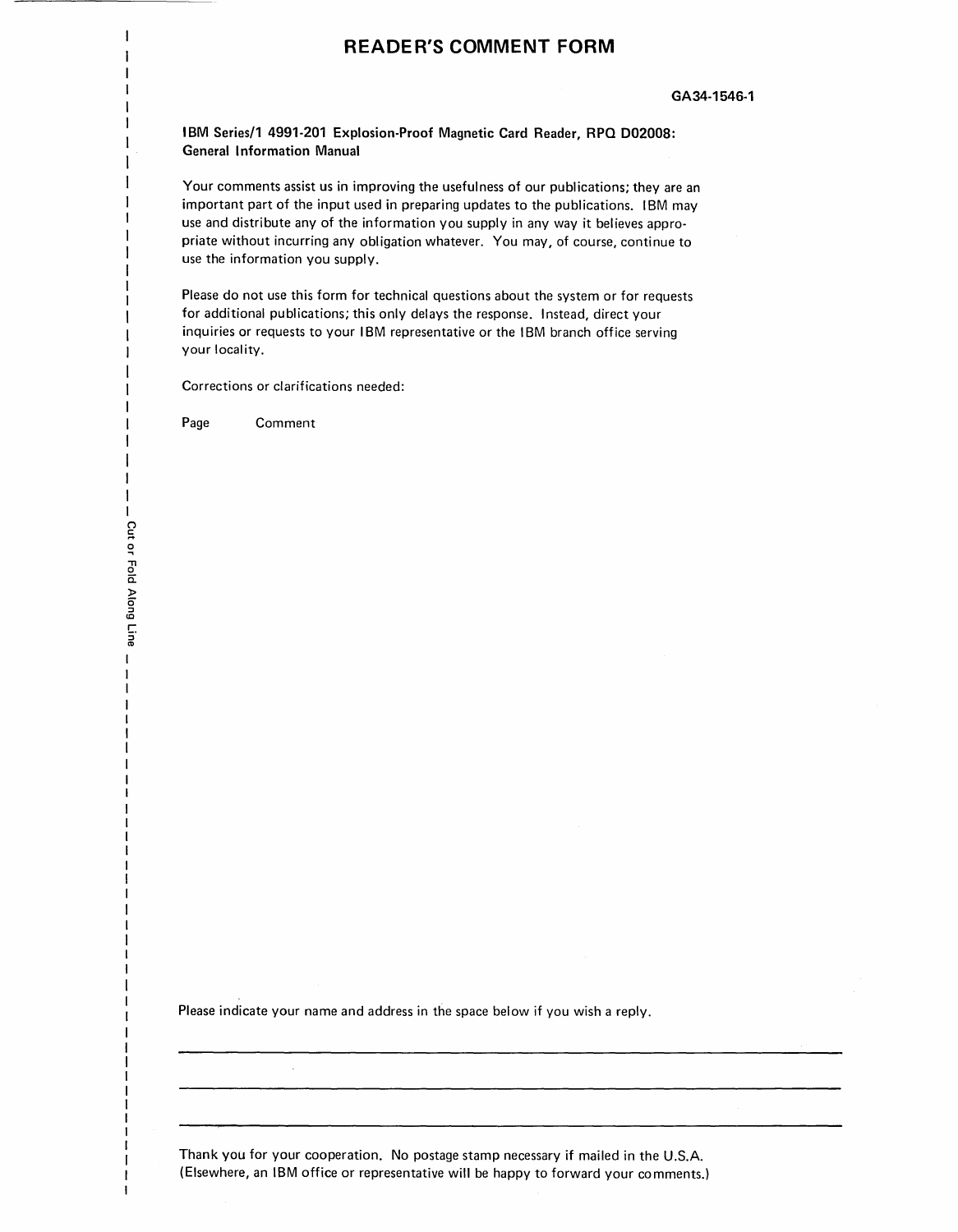### **READER'S COMMENT FORM**

IBM Series/1 4991-201 Explosion-Proof Magnetic Card Reader, RPQ 002008: General Information Manual

Your comments assist us in improving the usefulness of our publications; they are an important part of the input used in preparing updates to the publications. I BM may use and distribute any of the information you supply in any way it believes appropriate without incurring any obligation whatever. You may, of course, continue to use the information you supply.

Please do not use this form for technical questions about the system or for requests for additional publications; this only delays the response. Instead, direct your inquiries or requests to your IBM representative or the IBM branch office serving your locality.

Corrections or clarifications needed:

Page Comment

Cut or Fold Along Line

 $\mathbf{I}$ 

.

 $\mathbf{1}$ 

ı

ł

Please indicate your name and address in the space below if you wish a reply.

Thank you for your cooperation. No postage stamp necessary if mailed in the U.S.A. (Elsewhere, an IBM office or representative will be happy to forward your comments.)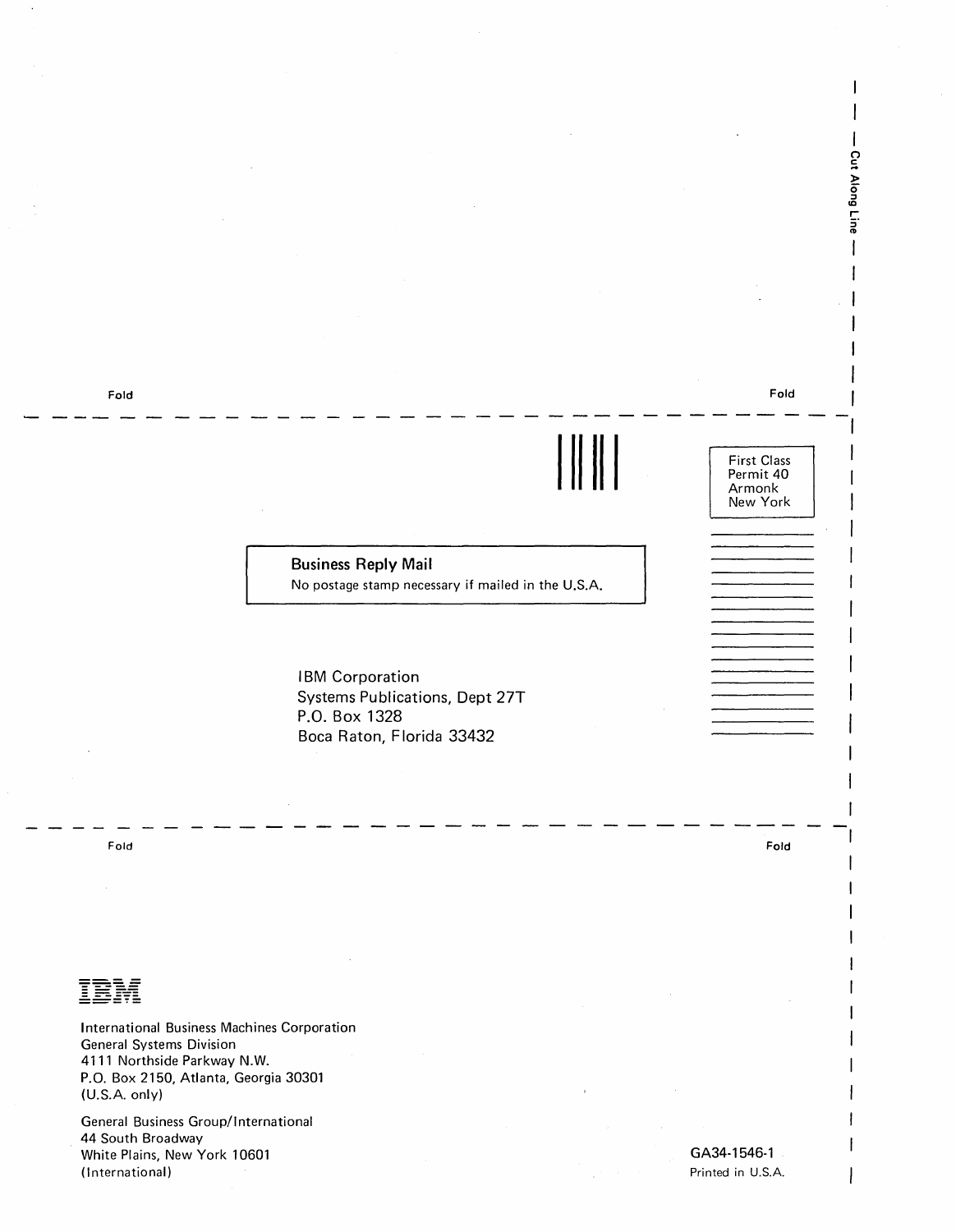Fold Fold ----- --- ---- ------------------- Cut Along Line

 $\mathbf{I}$ 

 $\overline{1}$ 

First Class Permit 40 Armonk New York

Fold

## **Business Reply Mail**  No postage stamp necessary if mailed in the U.S.A.

**111111** 

**IBM Corporation** Systems Publications, Dept 27T P.O. Box 1328 Boca Raton, Florida 33432

Fold

International Business Machines Corporation General Systems Division 4111 Northside Parkway N.W. P.O. Box 2150, Atlanta, Georgia 30301 (U.S.A. only)

General Business Group/International 44 South Broadway White Plains, New York 10601 (International)

GA34-1546-1 Printed in U.S.A.